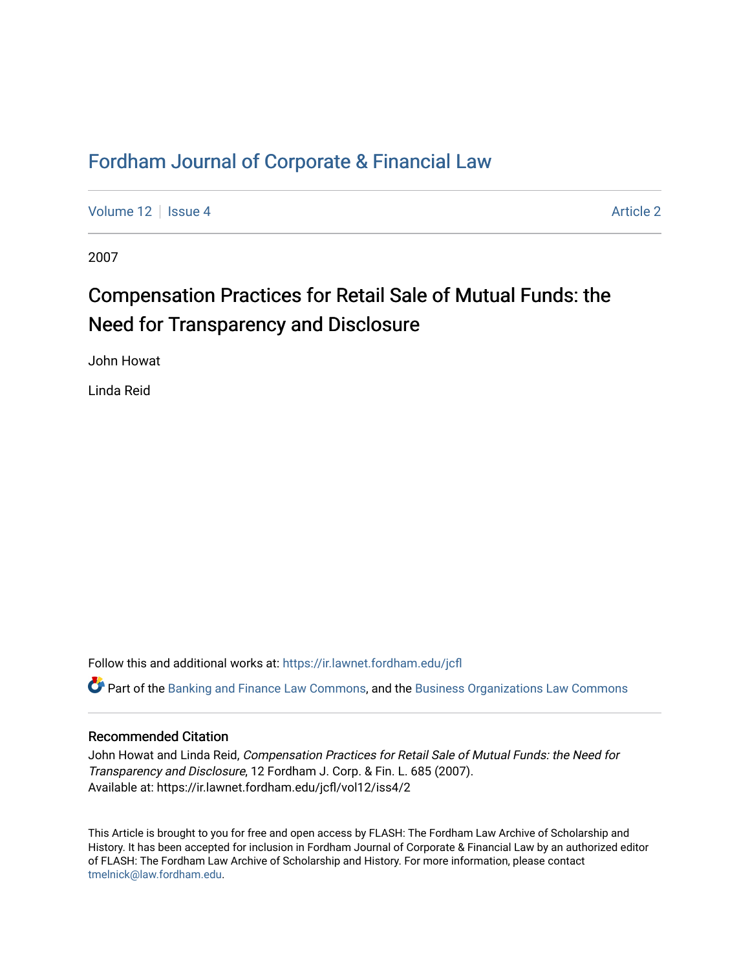# [Fordham Journal of Corporate & Financial Law](https://ir.lawnet.fordham.edu/jcfl)

[Volume 12](https://ir.lawnet.fordham.edu/jcfl/vol12) Setup 4 [Article 2](https://ir.lawnet.fordham.edu/jcfl/vol12/iss4/2) Article 2 Article 2 Article 2 Article 2 Article 2 Article 2

2007

# Compensation Practices for Retail Sale of Mutual Funds: the Need for Transparency and Disclosure

John Howat

Linda Reid

Follow this and additional works at: [https://ir.lawnet.fordham.edu/jcfl](https://ir.lawnet.fordham.edu/jcfl?utm_source=ir.lawnet.fordham.edu%2Fjcfl%2Fvol12%2Fiss4%2F2&utm_medium=PDF&utm_campaign=PDFCoverPages) 

Part of the [Banking and Finance Law Commons,](http://network.bepress.com/hgg/discipline/833?utm_source=ir.lawnet.fordham.edu%2Fjcfl%2Fvol12%2Fiss4%2F2&utm_medium=PDF&utm_campaign=PDFCoverPages) and the [Business Organizations Law Commons](http://network.bepress.com/hgg/discipline/900?utm_source=ir.lawnet.fordham.edu%2Fjcfl%2Fvol12%2Fiss4%2F2&utm_medium=PDF&utm_campaign=PDFCoverPages) 

# Recommended Citation

John Howat and Linda Reid, Compensation Practices for Retail Sale of Mutual Funds: the Need for Transparency and Disclosure, 12 Fordham J. Corp. & Fin. L. 685 (2007). Available at: https://ir.lawnet.fordham.edu/jcfl/vol12/iss4/2

This Article is brought to you for free and open access by FLASH: The Fordham Law Archive of Scholarship and History. It has been accepted for inclusion in Fordham Journal of Corporate & Financial Law by an authorized editor of FLASH: The Fordham Law Archive of Scholarship and History. For more information, please contact [tmelnick@law.fordham.edu](mailto:tmelnick@law.fordham.edu).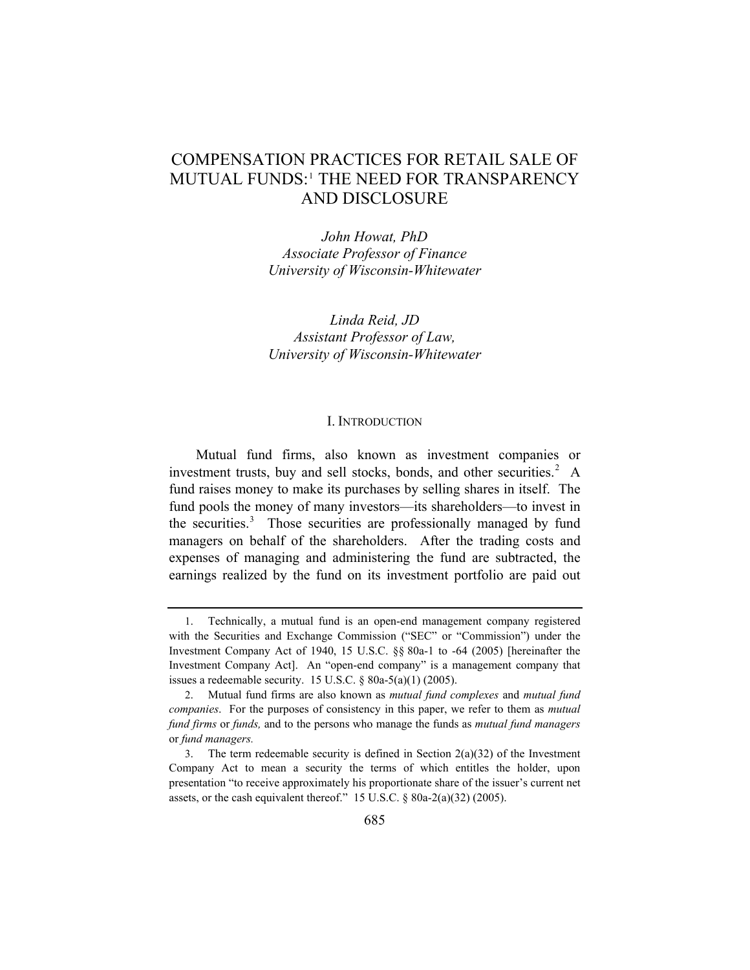# COMPENSATION PRACTICES FOR RETAIL SALE OF MUTUAL FUNDS:<sup>[1](#page-1-0)</sup> THE NEED FOR TRANSPARENCY AND DISCLOSURE

*John Howat, PhD Associate Professor of Finance University of Wisconsin-Whitewater* 

*Linda Reid, JD Assistant Professor of Law, University of Wisconsin-Whitewater* 

#### I. INTRODUCTION

Mutual fund firms, also known as investment companies or investment trusts, buy and sell stocks, bonds, and other securities. $2 \text{ A}$  $2 \text{ A}$ fund raises money to make its purchases by selling shares in itself. The fund pools the money of many investors—its shareholders—to invest in the securities.<sup>[3](#page-1-2)</sup> Those securities are professionally managed by fund managers on behalf of the shareholders. After the trading costs and expenses of managing and administering the fund are subtracted, the earnings realized by the fund on its investment portfolio are paid out

<span id="page-1-0"></span><sup>1.</sup> Technically, a mutual fund is an open-end management company registered with the Securities and Exchange Commission ("SEC" or "Commission") under the Investment Company Act of 1940, 15 U.S.C. §§ 80a-1 to -64 (2005) [hereinafter the Investment Company Act]. An "open-end company" is a management company that issues a redeemable security. 15 U.S.C.  $\S$  80a-5(a)(1) (2005).

<span id="page-1-1"></span><sup>2.</sup> Mutual fund firms are also known as *mutual fund complexes* and *mutual fund companies*. For the purposes of consistency in this paper, we refer to them as *mutual fund firms* or *funds,* and to the persons who manage the funds as *mutual fund managers*  or *fund managers.*

<span id="page-1-2"></span><sup>3.</sup> The term redeemable security is defined in Section  $2(a)(32)$  of the Investment Company Act to mean a security the terms of which entitles the holder, upon presentation "to receive approximately his proportionate share of the issuer's current net assets, or the cash equivalent thereof." 15 U.S.C. § 80a-2(a)(32) (2005).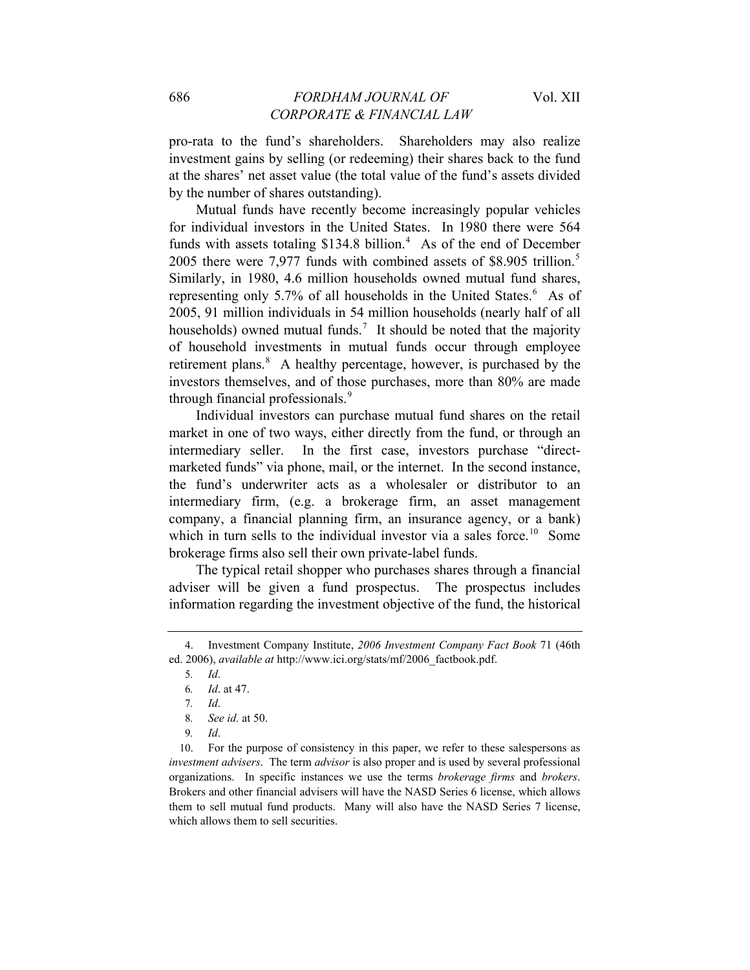pro-rata to the fund's shareholders. Shareholders may also realize investment gains by selling (or redeeming) their shares back to the fund at the shares' net asset value (the total value of the fund's assets divided by the number of shares outstanding).

Mutual funds have recently become increasingly popular vehicles for individual investors in the United States. In 1980 there were 564 funds with assets totaling  $$134.8$  $$134.8$  $$134.8$  billion.<sup>4</sup> As of the end of December 200[5](#page-2-1) there were 7,977 funds with combined assets of \$8.905 trillion.<sup>5</sup> Similarly, in 1980, 4.6 million households owned mutual fund shares, representing only 5.7% of all households in the United States.<sup>[6](#page-2-2)</sup> As of 2005, 91 million individuals in 54 million households (nearly half of all households) owned mutual funds.<sup>[7](#page-2-3)</sup> It should be noted that the majority of household investments in mutual funds occur through employee retirement plans.<sup>[8](#page-2-4)</sup> A healthy percentage, however, is purchased by the investors themselves, and of those purchases, more than 80% are made through financial professionals.[9](#page-2-5)

Individual investors can purchase mutual fund shares on the retail market in one of two ways, either directly from the fund, or through an intermediary seller. In the first case, investors purchase "directmarketed funds" via phone, mail, or the internet. In the second instance, the fund's underwriter acts as a wholesaler or distributor to an intermediary firm, (e.g. a brokerage firm, an asset management company, a financial planning firm, an insurance agency, or a bank) which in turn sells to the individual investor via a sales force.<sup>[10](#page-2-6)</sup> Some brokerage firms also sell their own private-label funds.

The typical retail shopper who purchases shares through a financial adviser will be given a fund prospectus. The prospectus includes information regarding the investment objective of the fund, the historical

<span id="page-2-2"></span><span id="page-2-1"></span><span id="page-2-0"></span><sup>4.</sup> Investment Company Institute, *2006 Investment Company Fact Book* 71 (46th ed. 2006), *available at* http://www.ici.org/stats/mf/2006\_factbook.pdf.

<sup>5</sup>*. Id*.

<sup>6</sup>*. Id*. at 47.

<sup>7</sup>*. Id*.

<sup>8</sup>*. See id.* at 50.

<sup>9</sup>*. Id*.

<span id="page-2-6"></span><span id="page-2-5"></span><span id="page-2-4"></span><span id="page-2-3"></span><sup>10.</sup> For the purpose of consistency in this paper, we refer to these salespersons as *investment advisers*. The term *advisor* is also proper and is used by several professional organizations. In specific instances we use the terms *brokerage firms* and *brokers*. Brokers and other financial advisers will have the NASD Series 6 license, which allows them to sell mutual fund products. Many will also have the NASD Series 7 license, which allows them to sell securities.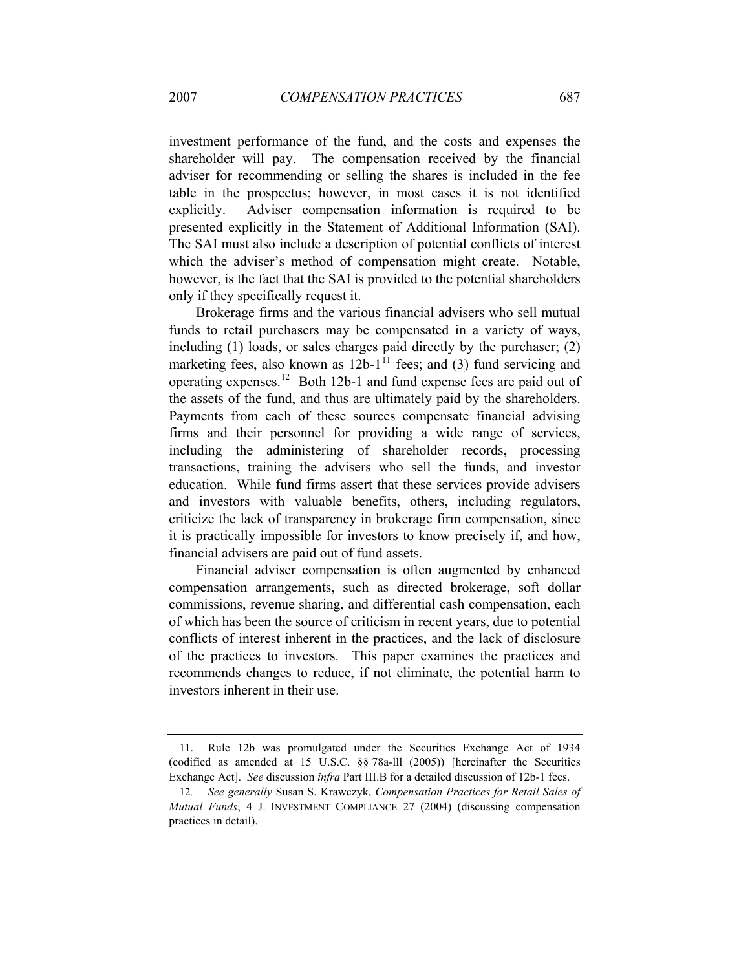investment performance of the fund, and the costs and expenses the shareholder will pay. The compensation received by the financial adviser for recommending or selling the shares is included in the fee table in the prospectus; however, in most cases it is not identified explicitly. Adviser compensation information is required to be presented explicitly in the Statement of Additional Information (SAI). The SAI must also include a description of potential conflicts of interest which the adviser's method of compensation might create. Notable, however, is the fact that the SAI is provided to the potential shareholders only if they specifically request it.

Brokerage firms and the various financial advisers who sell mutual funds to retail purchasers may be compensated in a variety of ways, including (1) loads, or sales charges paid directly by the purchaser; (2) marketing fees, also known as  $12b-1$ <sup>[11](#page-3-0)</sup> fees; and (3) fund servicing and operating expenses.[12](#page-3-1) Both 12b-1 and fund expense fees are paid out of the assets of the fund, and thus are ultimately paid by the shareholders. Payments from each of these sources compensate financial advising firms and their personnel for providing a wide range of services, including the administering of shareholder records, processing transactions, training the advisers who sell the funds, and investor education. While fund firms assert that these services provide advisers and investors with valuable benefits, others, including regulators, criticize the lack of transparency in brokerage firm compensation, since it is practically impossible for investors to know precisely if, and how, financial advisers are paid out of fund assets.

Financial adviser compensation is often augmented by enhanced compensation arrangements, such as directed brokerage, soft dollar commissions, revenue sharing, and differential cash compensation, each of which has been the source of criticism in recent years, due to potential conflicts of interest inherent in the practices, and the lack of disclosure of the practices to investors. This paper examines the practices and recommends changes to reduce, if not eliminate, the potential harm to investors inherent in their use.

<span id="page-3-0"></span><sup>11.</sup> Rule 12b was promulgated under the Securities Exchange Act of 1934 (codified as amended at 15 U.S.C. §§ 78a-lll (2005)) [hereinafter the Securities Exchange Act]. *See* discussion *infra* Part III.B for a detailed discussion of 12b-1 fees.

<span id="page-3-1"></span><sup>12</sup>*. See generally* Susan S. Krawczyk, *Compensation Practices for Retail Sales of Mutual Funds*, 4 J. INVESTMENT COMPLIANCE 27 (2004) (discussing compensation practices in detail).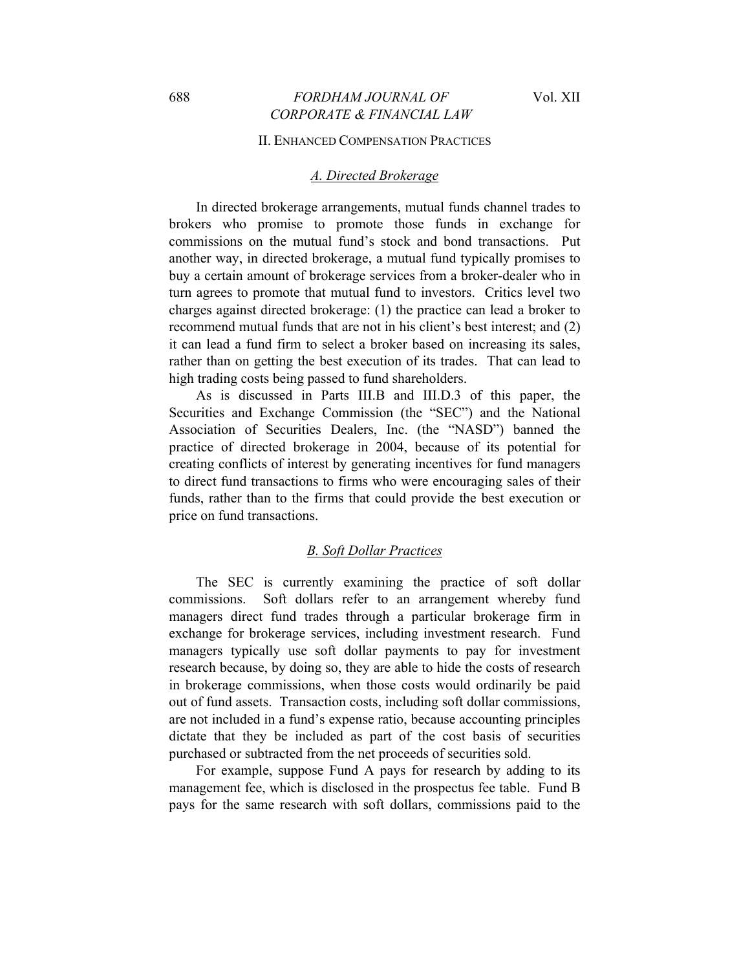#### II. ENHANCED COMPENSATION PRACTICES

#### *A. Directed Brokerage*

In directed brokerage arrangements, mutual funds channel trades to brokers who promise to promote those funds in exchange for commissions on the mutual fund's stock and bond transactions. Put another way, in directed brokerage, a mutual fund typically promises to buy a certain amount of brokerage services from a broker-dealer who in turn agrees to promote that mutual fund to investors. Critics level two charges against directed brokerage: (1) the practice can lead a broker to recommend mutual funds that are not in his client's best interest; and (2) it can lead a fund firm to select a broker based on increasing its sales, rather than on getting the best execution of its trades. That can lead to high trading costs being passed to fund shareholders.

As is discussed in Parts III.B and III.D.3 of this paper, the Securities and Exchange Commission (the "SEC") and the National Association of Securities Dealers, Inc. (the "NASD") banned the practice of directed brokerage in 2004, because of its potential for creating conflicts of interest by generating incentives for fund managers to direct fund transactions to firms who were encouraging sales of their funds, rather than to the firms that could provide the best execution or price on fund transactions.

#### *B. Soft Dollar Practices*

The SEC is currently examining the practice of soft dollar commissions. Soft dollars refer to an arrangement whereby fund managers direct fund trades through a particular brokerage firm in exchange for brokerage services, including investment research. Fund managers typically use soft dollar payments to pay for investment research because, by doing so, they are able to hide the costs of research in brokerage commissions, when those costs would ordinarily be paid out of fund assets. Transaction costs, including soft dollar commissions, are not included in a fund's expense ratio, because accounting principles dictate that they be included as part of the cost basis of securities purchased or subtracted from the net proceeds of securities sold.

For example, suppose Fund A pays for research by adding to its management fee, which is disclosed in the prospectus fee table. Fund B pays for the same research with soft dollars, commissions paid to the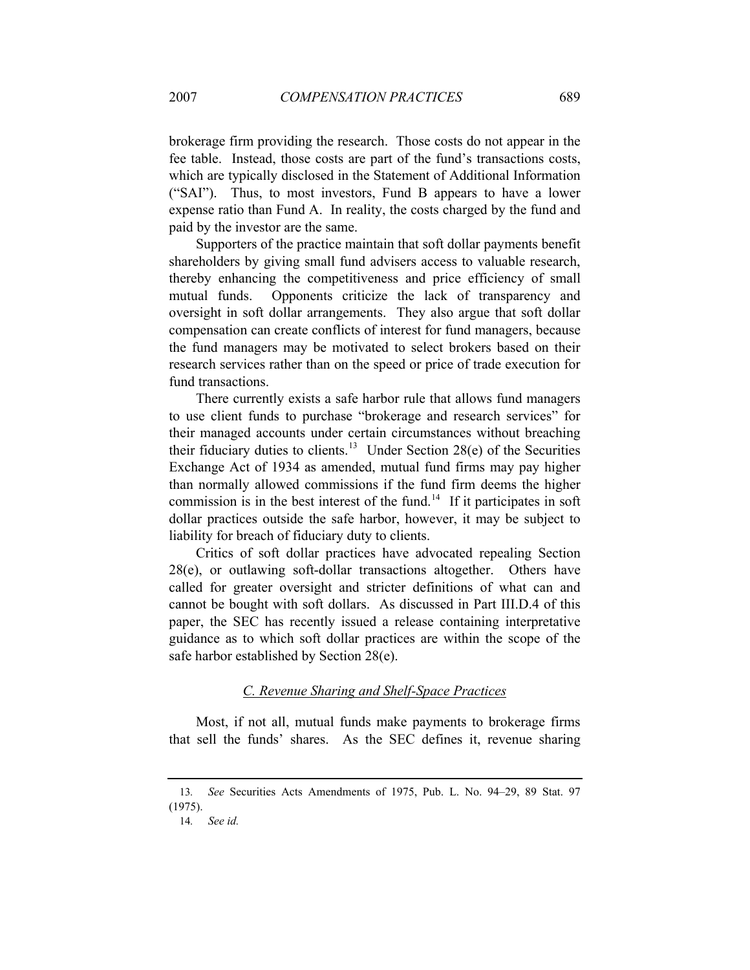brokerage firm providing the research. Those costs do not appear in the fee table. Instead, those costs are part of the fund's transactions costs, which are typically disclosed in the Statement of Additional Information ("SAI"). Thus, to most investors, Fund B appears to have a lower expense ratio than Fund A. In reality, the costs charged by the fund and paid by the investor are the same.

Supporters of the practice maintain that soft dollar payments benefit shareholders by giving small fund advisers access to valuable research, thereby enhancing the competitiveness and price efficiency of small mutual funds. Opponents criticize the lack of transparency and oversight in soft dollar arrangements. They also argue that soft dollar compensation can create conflicts of interest for fund managers, because the fund managers may be motivated to select brokers based on their research services rather than on the speed or price of trade execution for fund transactions.

There currently exists a safe harbor rule that allows fund managers to use client funds to purchase "brokerage and research services" for their managed accounts under certain circumstances without breaching their fiduciary duties to clients.<sup>[13](#page-5-0)</sup> Under Section 28(e) of the Securities Exchange Act of 1934 as amended, mutual fund firms may pay higher than normally allowed commissions if the fund firm deems the higher commission is in the best interest of the fund.<sup>[14](#page-5-1)</sup> If it participates in soft dollar practices outside the safe harbor, however, it may be subject to liability for breach of fiduciary duty to clients.

Critics of soft dollar practices have advocated repealing Section 28(e), or outlawing soft-dollar transactions altogether. Others have called for greater oversight and stricter definitions of what can and cannot be bought with soft dollars. As discussed in Part III.D.4 of this paper, the SEC has recently issued a release containing interpretative guidance as to which soft dollar practices are within the scope of the safe harbor established by Section 28(e).

### *C. Revenue Sharing and Shelf-Space Practices*

Most, if not all, mutual funds make payments to brokerage firms that sell the funds' shares. As the SEC defines it, revenue sharing

<span id="page-5-1"></span><span id="page-5-0"></span><sup>13</sup>*. See* Securities Acts Amendments of 1975, Pub. L. No. 94–29, 89 Stat. 97 (1975).

<sup>14</sup>*. See id.*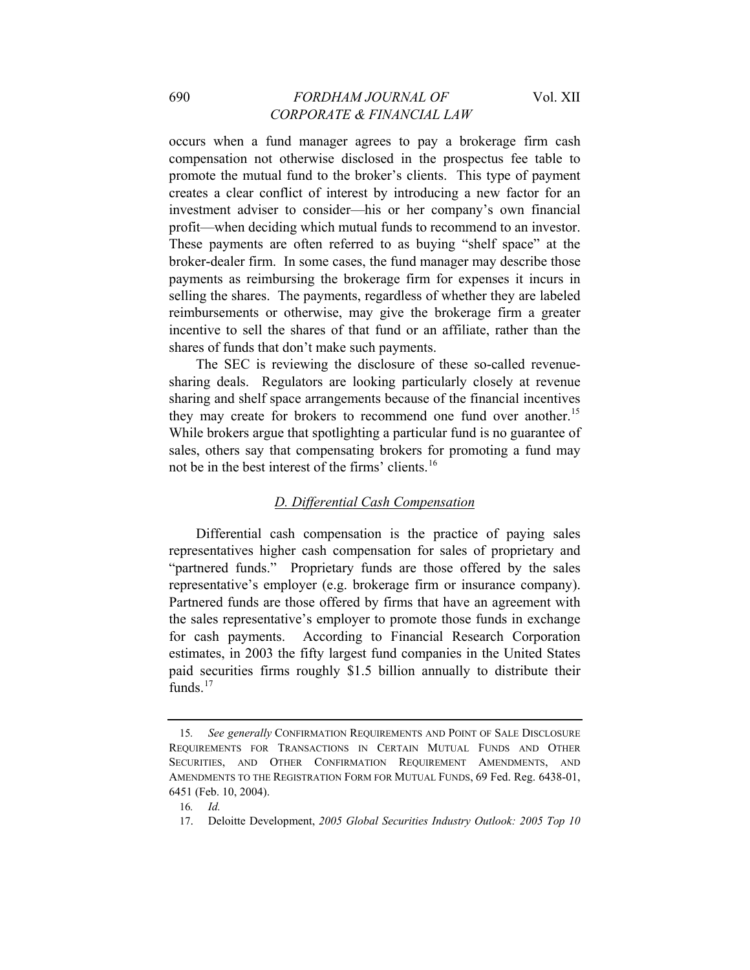occurs when a fund manager agrees to pay a brokerage firm cash compensation not otherwise disclosed in the prospectus fee table to promote the mutual fund to the broker's clients. This type of payment creates a clear conflict of interest by introducing a new factor for an investment adviser to consider—his or her company's own financial profit—when deciding which mutual funds to recommend to an investor. These payments are often referred to as buying "shelf space" at the broker-dealer firm. In some cases, the fund manager may describe those payments as reimbursing the brokerage firm for expenses it incurs in selling the shares. The payments, regardless of whether they are labeled reimbursements or otherwise, may give the brokerage firm a greater incentive to sell the shares of that fund or an affiliate, rather than the shares of funds that don't make such payments.

The SEC is reviewing the disclosure of these so-called revenuesharing deals. Regulators are looking particularly closely at revenue sharing and shelf space arrangements because of the financial incentives they may create for brokers to recommend one fund over another.<sup>[15](#page-6-0)</sup> While brokers argue that spotlighting a particular fund is no guarantee of sales, others say that compensating brokers for promoting a fund may not be in the best interest of the firms' clients.<sup>[16](#page-6-1)</sup>

# *D. Differential Cash Compensation*

Differential cash compensation is the practice of paying sales representatives higher cash compensation for sales of proprietary and "partnered funds." Proprietary funds are those offered by the sales representative's employer (e.g. brokerage firm or insurance company). Partnered funds are those offered by firms that have an agreement with the sales representative's employer to promote those funds in exchange for cash payments. According to Financial Research Corporation estimates, in 2003 the fifty largest fund companies in the United States paid securities firms roughly \$1.5 billion annually to distribute their funds. $17$ 

<span id="page-6-0"></span><sup>15</sup>*. See generally* CONFIRMATION REQUIREMENTS AND POINT OF SALE DISCLOSURE REQUIREMENTS FOR TRANSACTIONS IN CERTAIN MUTUAL FUNDS AND OTHER SECURITIES, AND OTHER CONFIRMATION REQUIREMENT AMENDMENTS, AND AMENDMENTS TO THE REGISTRATION FORM FOR MUTUAL FUNDS, 69 Fed. Reg. 6438-01, 6451 (Feb. 10, 2004).

<span id="page-6-2"></span><span id="page-6-1"></span><sup>16</sup>*. Id.*

<sup>17.</sup> Deloitte Development, *2005 Global Securities Industry Outlook: 2005 Top 10*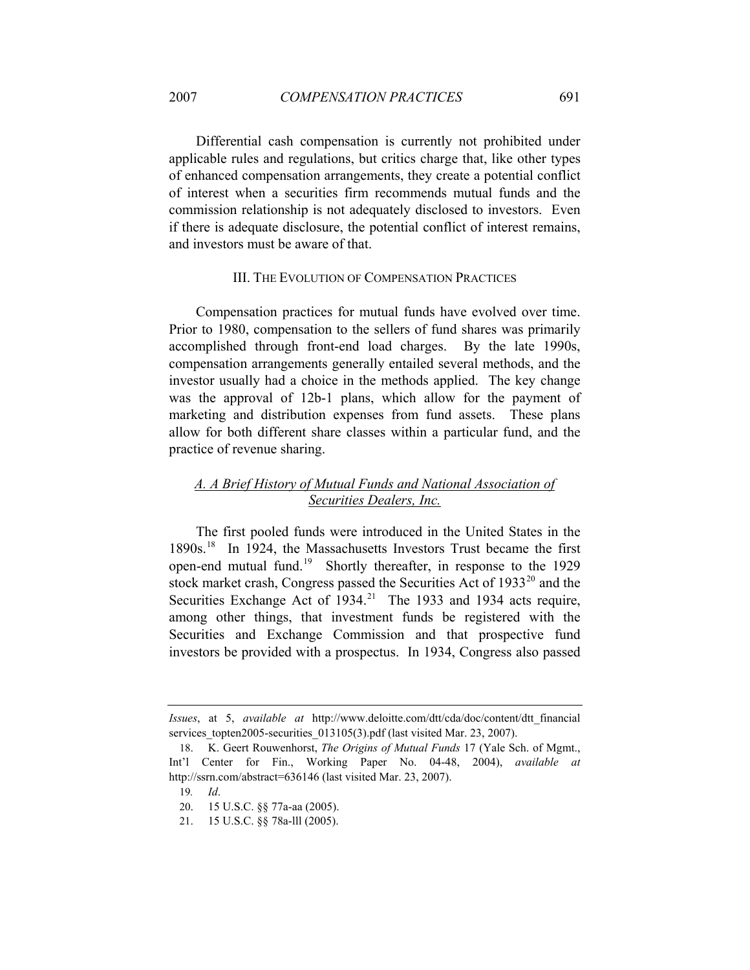Differential cash compensation is currently not prohibited under applicable rules and regulations, but critics charge that, like other types of enhanced compensation arrangements, they create a potential conflict of interest when a securities firm recommends mutual funds and the commission relationship is not adequately disclosed to investors. Even if there is adequate disclosure, the potential conflict of interest remains, and investors must be aware of that.

### III. THE EVOLUTION OF COMPENSATION PRACTICES

Compensation practices for mutual funds have evolved over time. Prior to 1980, compensation to the sellers of fund shares was primarily accomplished through front-end load charges. By the late 1990s, compensation arrangements generally entailed several methods, and the investor usually had a choice in the methods applied. The key change was the approval of 12b-1 plans, which allow for the payment of marketing and distribution expenses from fund assets. These plans allow for both different share classes within a particular fund, and the practice of revenue sharing.

# *A. A Brief History of Mutual Funds and National Association of Securities Dealers, Inc.*

The first pooled funds were introduced in the United States in the [18](#page-7-0)90s.<sup>18</sup> In 1924, the Massachusetts Investors Trust became the first open-end mutual fund.[19](#page-7-1) Shortly thereafter, in response to the 1929 stock market crash, Congress passed the Securities Act of 1933<sup>[20](#page-7-2)</sup> and the Securities Exchange Act of  $1934$ <sup>[21](#page-7-3)</sup> The 1933 and 1934 acts require, among other things, that investment funds be registered with the Securities and Exchange Commission and that prospective fund investors be provided with a prospectus. In 1934, Congress also passed

*Issues*, at 5, *available at* http://www.deloitte.com/dtt/cda/doc/content/dtt\_financial services topten2005-securities 013105(3).pdf (last visited Mar. 23, 2007).

<span id="page-7-2"></span><span id="page-7-1"></span><span id="page-7-0"></span><sup>18.</sup> K. Geert Rouwenhorst, *The Origins of Mutual Funds* 17 (Yale Sch. of Mgmt., Int'l Center for Fin., Working Paper No. 04-48, 2004), *available at* http://ssrn.com/abstract=636146 (last visited Mar. 23, 2007).

<sup>19</sup>*. Id*.

<sup>20. 15</sup> U.S.C. §§ 77a-aa (2005).

<span id="page-7-3"></span><sup>21. 15</sup> U.S.C. §§ 78a-lll (2005).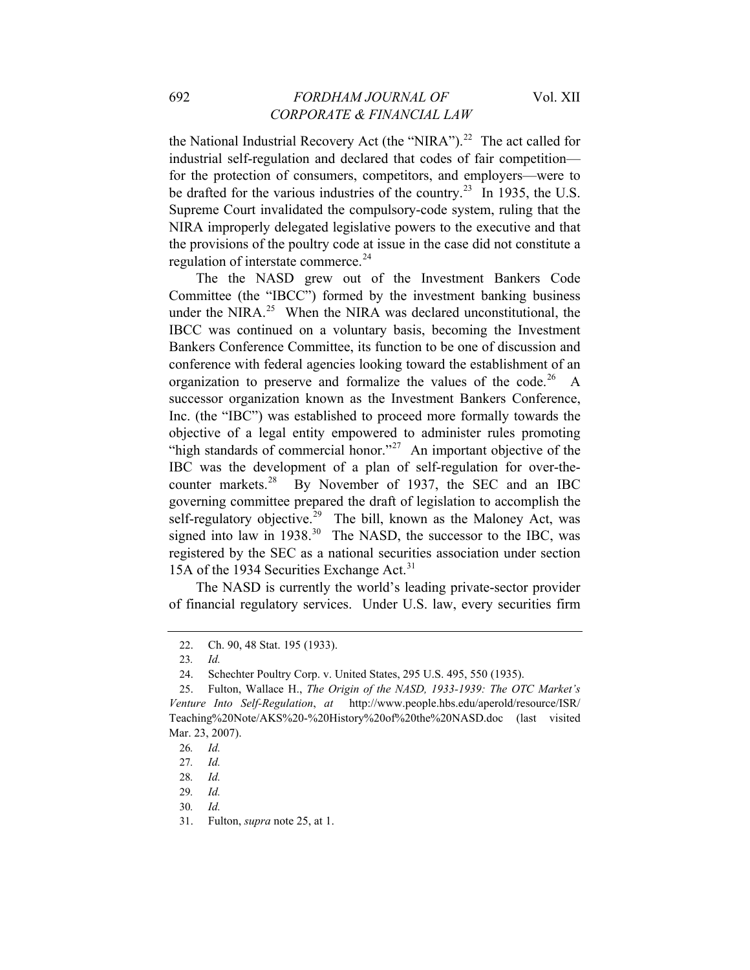the National Industrial Recovery Act (the "NIRA").<sup>[22](#page-8-0)</sup> The act called for industrial self-regulation and declared that codes of fair competition for the protection of consumers, competitors, and employers—were to be drafted for the various industries of the country.<sup>[23](#page-8-1)</sup> In 1935, the U.S. Supreme Court invalidated the compulsory-code system, ruling that the NIRA improperly delegated legislative powers to the executive and that the provisions of the poultry code at issue in the case did not constitute a regulation of interstate commerce.<sup>[24](#page-8-2)</sup>

The the NASD grew out of the Investment Bankers Code Committee (the "IBCC") formed by the investment banking business under the NIRA.<sup>[25](#page-8-3)</sup> When the NIRA was declared unconstitutional, the IBCC was continued on a voluntary basis, becoming the Investment Bankers Conference Committee, its function to be one of discussion and conference with federal agencies looking toward the establishment of an organization to preserve and formalize the values of the code.<sup>[26](#page-8-4)</sup> A successor organization known as the Investment Bankers Conference, Inc. (the "IBC") was established to proceed more formally towards the objective of a legal entity empowered to administer rules promoting "high standards of commercial honor."<sup>[27](#page-8-5)</sup> An important objective of the IBC was the development of a plan of self-regulation for over-thecounter markets. $^{28}$  $^{28}$  $^{28}$  By November of 1937, the SEC and an IBC governing committee prepared the draft of legislation to accomplish the self-regulatory objective.<sup>[29](#page-8-7)</sup> The bill, known as the Maloney Act, was signed into law in  $1938<sup>30</sup>$  $1938<sup>30</sup>$  $1938<sup>30</sup>$  The NASD, the successor to the IBC, was registered by the SEC as a national securities association under section 15A of the 1934 Securities Exchange Act.<sup>[31](#page-8-9)</sup>

The NASD is currently the world's leading private-sector provider of financial regulatory services. Under U.S. law, every securities firm

<sup>22.</sup> Ch. 90, 48 Stat. 195 (1933).

<sup>23</sup>*. Id.*

<sup>24.</sup> Schechter Poultry Corp. v. United States, 295 U.S. 495, 550 (1935).

<span id="page-8-4"></span><span id="page-8-3"></span><span id="page-8-2"></span><span id="page-8-1"></span><span id="page-8-0"></span><sup>25.</sup> Fulton, Wallace H., *The Origin of the NASD, 1933-1939: The OTC Market's Venture Into Self-Regulation*, *at* http://www.people.hbs.edu/aperold/resource/ISR/ Teaching%20Note/AKS%20-%20History%20of%20the%20NASD.doc (last visited Mar. 23, 2007).

<span id="page-8-5"></span><sup>26</sup>*. Id.*

<sup>27</sup>*. Id.*

<span id="page-8-7"></span><span id="page-8-6"></span><sup>28</sup>*. Id.*

<sup>29</sup>*. Id.*

<span id="page-8-8"></span><sup>30</sup>*. Id.*

<span id="page-8-9"></span><sup>31.</sup> Fulton, *supra* note 25, at 1.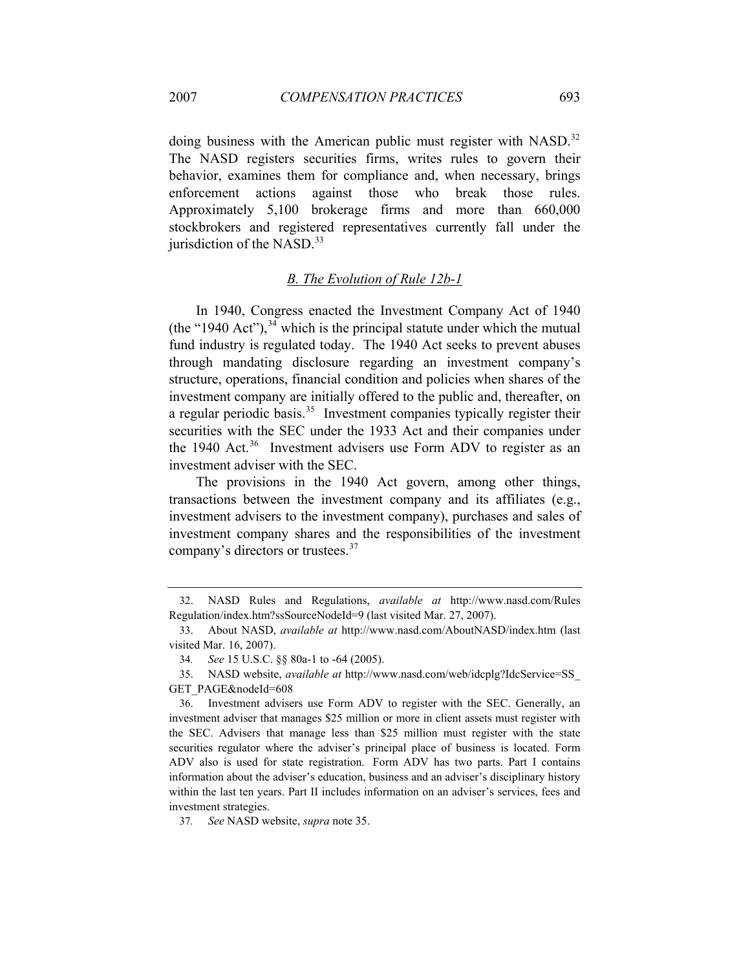doing business with the American public must register with NASD.<sup>[32](#page-9-0)</sup> The NASD registers securities firms, writes rules to govern their behavior, examines them for compliance and, when necessary, brings enforcement actions against those who break those rules. Approximately 5,100 brokerage firms and more than 660,000 stockbrokers and registered representatives currently fall under the jurisdiction of the NASD. $33$ 

# *B. The Evolution of Rule 12b-1*

In 1940, Congress enacted the Investment Company Act of 1940 (the "1940 Act"),  $34$  which is the principal statute under which the mutual fund industry is regulated today. The 1940 Act seeks to prevent abuses through mandating disclosure regarding an investment company's structure, operations, financial condition and policies when shares of the investment company are initially offered to the public and, thereafter, on a regular periodic basis.<sup>[35](#page-9-3)</sup> Investment companies typically register their securities with the SEC under the 1933 Act and their companies under the 1940 Act.<sup>[36](#page-9-4)</sup> Investment advisers use Form ADV to register as an investment adviser with the SEC.

The provisions in the 1940 Act govern, among other things, transactions between the investment company and its affiliates (e.g., investment advisers to the investment company), purchases and sales of investment company shares and the responsibilities of the investment company's directors or trustees.<sup>[37](#page-9-5)</sup>

<span id="page-9-0"></span><sup>32.</sup> NASD Rules and Regulations, *available at* http://www.nasd.com/Rules Regulation/index.htm?ssSourceNodeId=9 (last visited Mar. 27, 2007).

<span id="page-9-1"></span><sup>33.</sup> About NASD, *available at* http://www.nasd.com/AboutNASD/index.htm (last visited Mar. 16, 2007).

<sup>34</sup>*. See* 15 U.S.C. §§ 80a-1 to -64 (2005).

<span id="page-9-3"></span><span id="page-9-2"></span><sup>35.</sup> NASD website, *available at* http://www.nasd.com/web/idcplg?IdcService=SS\_ GET\_PAGE&nodeId=608

<span id="page-9-4"></span><sup>36.</sup> Investment advisers use Form ADV to register with the SEC. Generally, an investment adviser that manages \$25 million or more in client assets must register with the SEC. Advisers that manage less than \$25 million must register with the state securities regulator where the adviser's principal place of business is located. Form ADV also is used for state registration. Form ADV has two parts. Part I contains information about the adviser's education, business and an adviser's disciplinary history within the last ten years. Part II includes information on an adviser's services, fees and investment strategies.

<span id="page-9-5"></span><sup>37</sup>*. See* NASD website, *supra* note 35.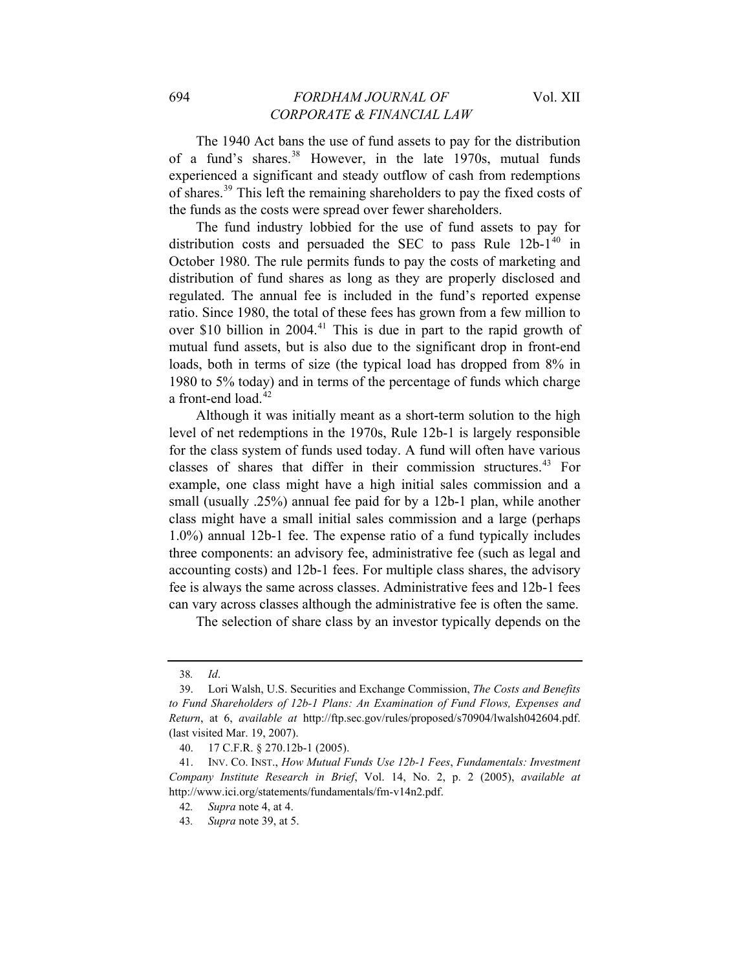The 1940 Act bans the use of fund assets to pay for the distribution of a fund's shares.<sup>[38](#page-10-0)</sup> However, in the late 1970s, mutual funds experienced a significant and steady outflow of cash from redemptions of shares.[39](#page-10-1) This left the remaining shareholders to pay the fixed costs of the funds as the costs were spread over fewer shareholders.

The fund industry lobbied for the use of fund assets to pay for distribution costs and persuaded the SEC to pass Rule  $12b-1^{40}$  $12b-1^{40}$  $12b-1^{40}$  in October 1980. The rule permits funds to pay the costs of marketing and distribution of fund shares as long as they are properly disclosed and regulated. The annual fee is included in the fund's reported expense ratio. Since 1980, the total of these fees has grown from a few million to over \$10 billion in  $2004<sup>41</sup>$  $2004<sup>41</sup>$  $2004<sup>41</sup>$ . This is due in part to the rapid growth of mutual fund assets, but is also due to the significant drop in front-end loads, both in terms of size (the typical load has dropped from 8% in 1980 to 5% today) and in terms of the percentage of funds which charge a front-end load.<sup>[42](#page-10-4)</sup>

Although it was initially meant as a short-term solution to the high level of net redemptions in the 1970s, Rule 12b-1 is largely responsible for the class system of funds used today. A fund will often have various classes of shares that differ in their commission structures.<sup>[43](#page-10-5)</sup> For example, one class might have a high initial sales commission and a small (usually .25%) annual fee paid for by a 12b-1 plan, while another class might have a small initial sales commission and a large (perhaps 1.0%) annual 12b-1 fee. The expense ratio of a fund typically includes three components: an advisory fee, administrative fee (such as legal and accounting costs) and 12b-1 fees. For multiple class shares, the advisory fee is always the same across classes. Administrative fees and 12b-1 fees can vary across classes although the administrative fee is often the same.

The selection of share class by an investor typically depends on the

<sup>38</sup>*. Id*.

<span id="page-10-1"></span><span id="page-10-0"></span><sup>39.</sup> Lori Walsh, U.S. Securities and Exchange Commission, *The Costs and Benefits to Fund Shareholders of 12b-1 Plans: An Examination of Fund Flows, Expenses and Return*, at 6, *available at* http://ftp.sec.gov/rules/proposed/s70904/lwalsh042604.pdf. (last visited Mar. 19, 2007).

<sup>40. 17</sup> C.F.R. § 270.12b-1 (2005).

<span id="page-10-5"></span><span id="page-10-4"></span><span id="page-10-3"></span><span id="page-10-2"></span><sup>41.</sup> INV. CO. INST., *How Mutual Funds Use 12b-1 Fees*, *Fundamentals: Investment Company Institute Research in Brief*, Vol. 14, No. 2, p. 2 (2005), *available at* http://www.ici.org/statements/fundamentals/fm-v14n2.pdf.

<sup>42</sup>*. Supra* note 4, at 4.

<sup>43</sup>*. Supra* note 39, at 5.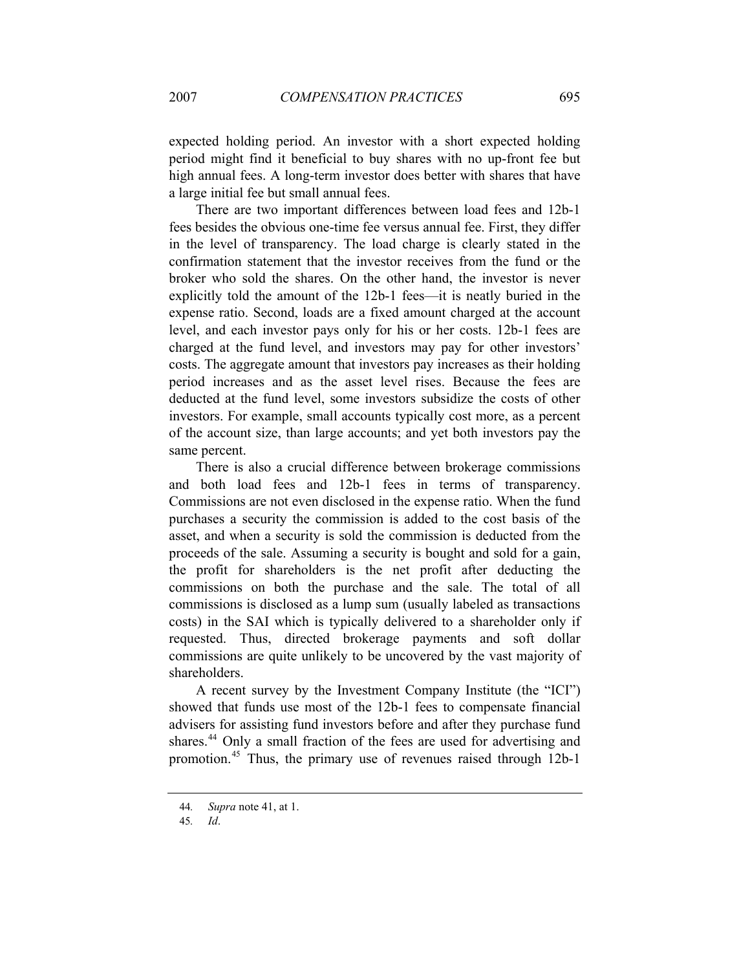expected holding period. An investor with a short expected holding period might find it beneficial to buy shares with no up-front fee but high annual fees. A long-term investor does better with shares that have a large initial fee but small annual fees.

There are two important differences between load fees and 12b-1 fees besides the obvious one-time fee versus annual fee. First, they differ in the level of transparency. The load charge is clearly stated in the confirmation statement that the investor receives from the fund or the broker who sold the shares. On the other hand, the investor is never explicitly told the amount of the 12b-1 fees—it is neatly buried in the expense ratio. Second, loads are a fixed amount charged at the account level, and each investor pays only for his or her costs. 12b-1 fees are charged at the fund level, and investors may pay for other investors' costs. The aggregate amount that investors pay increases as their holding period increases and as the asset level rises. Because the fees are deducted at the fund level, some investors subsidize the costs of other investors. For example, small accounts typically cost more, as a percent of the account size, than large accounts; and yet both investors pay the same percent.

There is also a crucial difference between brokerage commissions and both load fees and 12b-1 fees in terms of transparency. Commissions are not even disclosed in the expense ratio. When the fund purchases a security the commission is added to the cost basis of the asset, and when a security is sold the commission is deducted from the proceeds of the sale. Assuming a security is bought and sold for a gain, the profit for shareholders is the net profit after deducting the commissions on both the purchase and the sale. The total of all commissions is disclosed as a lump sum (usually labeled as transactions costs) in the SAI which is typically delivered to a shareholder only if requested. Thus, directed brokerage payments and soft dollar commissions are quite unlikely to be uncovered by the vast majority of shareholders.

A recent survey by the Investment Company Institute (the "ICI") showed that funds use most of the 12b-1 fees to compensate financial advisers for assisting fund investors before and after they purchase fund shares.<sup>[44](#page-11-0)</sup> Only a small fraction of the fees are used for advertising and promotion.[45](#page-11-1) Thus, the primary use of revenues raised through 12b-1

<span id="page-11-1"></span><span id="page-11-0"></span><sup>44</sup>*. Supra* note 41, at 1.

<sup>45</sup>*. Id*.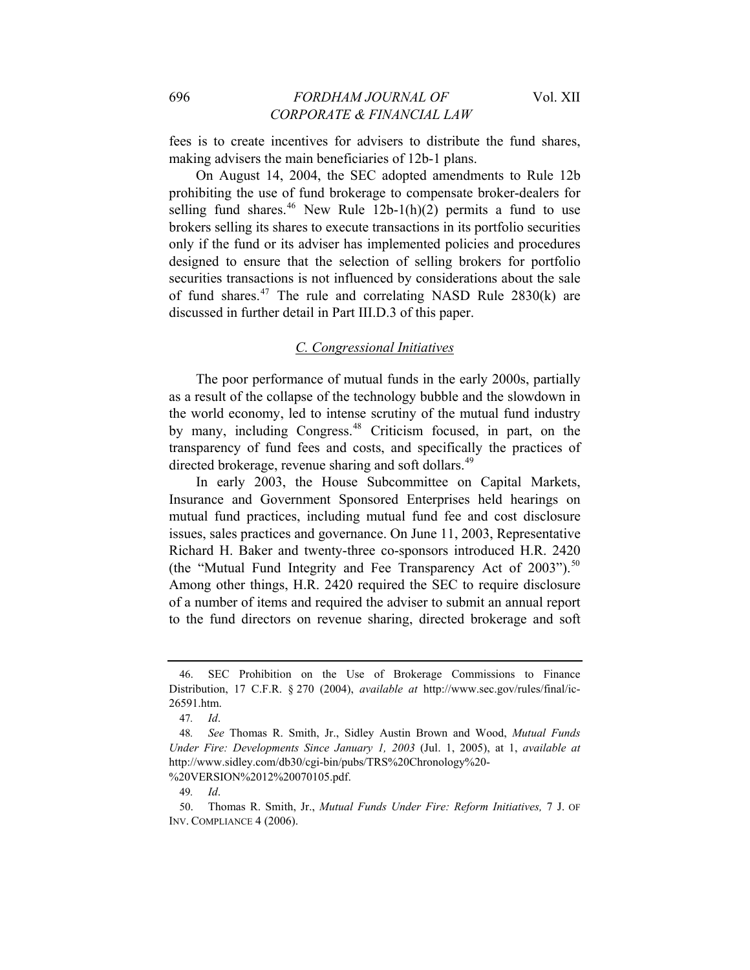fees is to create incentives for advisers to distribute the fund shares, making advisers the main beneficiaries of 12b-1 plans.

On August 14, 2004, the SEC adopted amendments to Rule 12b prohibiting the use of fund brokerage to compensate broker-dealers for selling fund shares.<sup>46</sup> New Rule  $12b-1(h)(2)$  permits a fund to use brokers selling its shares to execute transactions in its portfolio securities only if the fund or its adviser has implemented policies and procedures designed to ensure that the selection of selling brokers for portfolio securities transactions is not influenced by considerations about the sale of fund shares.<sup>[47](#page-12-1)</sup> The rule and correlating NASD Rule  $2830(k)$  are discussed in further detail in Part III.D.3 of this paper.

#### *C. Congressional Initiatives*

The poor performance of mutual funds in the early 2000s, partially as a result of the collapse of the technology bubble and the slowdown in the world economy, led to intense scrutiny of the mutual fund industry by many, including Congress.<sup>[48](#page-12-2)</sup> Criticism focused, in part, on the transparency of fund fees and costs, and specifically the practices of directed brokerage, revenue sharing and soft dollars.<sup>[49](#page-12-3)</sup>

In early 2003, the House Subcommittee on Capital Markets, Insurance and Government Sponsored Enterprises held hearings on mutual fund practices, including mutual fund fee and cost disclosure issues, sales practices and governance. On June 11, 2003, Representative Richard H. Baker and twenty-three co-sponsors introduced H.R. 2420 (the "Mutual Fund Integrity and Fee Transparency Act of  $2003$ ").<sup>[50](#page-12-4)</sup> Among other things, H.R. 2420 required the SEC to require disclosure of a number of items and required the adviser to submit an annual report to the fund directors on revenue sharing, directed brokerage and soft

<span id="page-12-0"></span><sup>46.</sup> SEC Prohibition on the Use of Brokerage Commissions to Finance Distribution, 17 C.F.R. § 270 (2004), *available at* http://www.sec.gov/rules/final/ic-26591.htm.

<sup>47</sup>*. Id*.

<span id="page-12-2"></span><span id="page-12-1"></span><sup>48</sup>*. See* Thomas R. Smith, Jr., Sidley Austin Brown and Wood, *Mutual Funds Under Fire: Developments Since January 1, 2003* (Jul. 1, 2005), at 1, *available at*  http://www.sidley.com/db30/cgi-bin/pubs/TRS%20Chronology%20- %20VERSION%2012%20070105.pdf.

<sup>49</sup>*. Id*.

<span id="page-12-4"></span><span id="page-12-3"></span><sup>50.</sup> Thomas R. Smith, Jr., *Mutual Funds Under Fire: Reform Initiatives,* 7 J. OF INV. COMPLIANCE 4 (2006).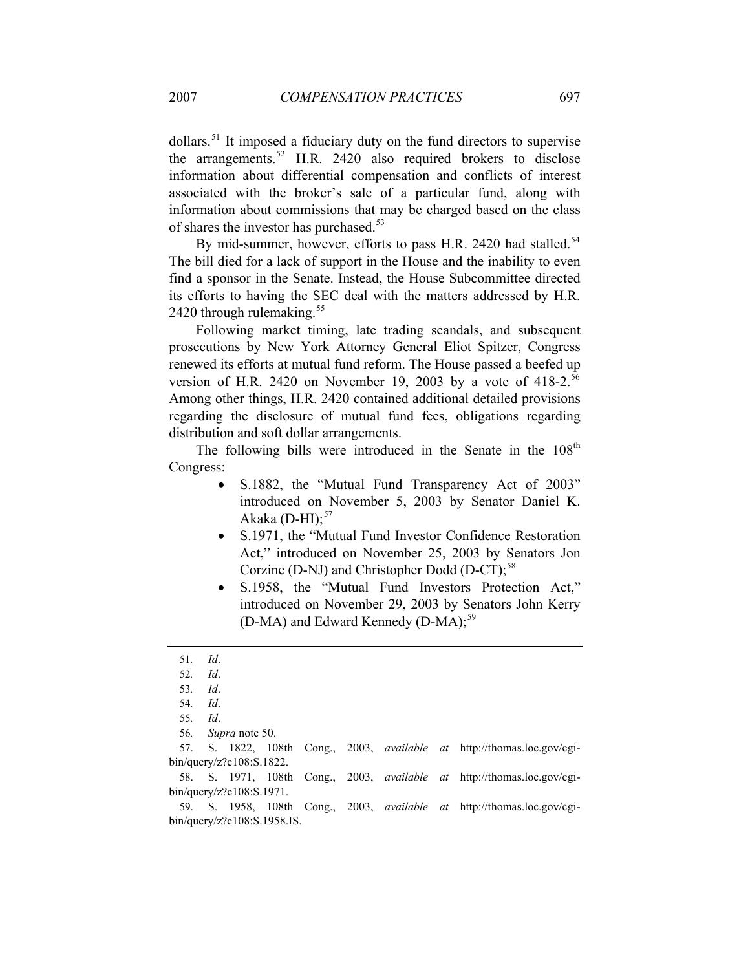dollars.[51](#page-13-0) It imposed a fiduciary duty on the fund directors to supervise the arrangements.<sup>[52](#page-13-1)</sup> H.R. 2420 also required brokers to disclose information about differential compensation and conflicts of interest associated with the broker's sale of a particular fund, along with information about commissions that may be charged based on the class of shares the investor has purchased.<sup>[53](#page-13-2)</sup>

By mid-summer, however, efforts to pass H.R. 2420 had stalled.<sup>[54](#page-13-3)</sup> The bill died for a lack of support in the House and the inability to even find a sponsor in the Senate. Instead, the House Subcommittee directed its efforts to having the SEC deal with the matters addressed by H.R. 2420 through rulemaking.<sup>[55](#page-13-4)</sup>

Following market timing, late trading scandals, and subsequent prosecutions by New York Attorney General Eliot Spitzer, Congress renewed its efforts at mutual fund reform. The House passed a beefed up version of H.R. 2420 on November 19, 2003 by a vote of  $418-2$ .<sup>[56](#page-13-5)</sup> Among other things, H.R. 2420 contained additional detailed provisions regarding the disclosure of mutual fund fees, obligations regarding distribution and soft dollar arrangements.

The following bills were introduced in the Senate in the 108<sup>th</sup> Congress:

- S.1882, the "Mutual Fund Transparency Act of 2003" introduced on November 5, 2003 by Senator Daniel K. Akaka  $(D-HI);$ <sup>[57](#page-13-6)</sup>
- S.1971, the "Mutual Fund Investor Confidence Restoration Act," introduced on November 25, 2003 by Senators Jon Corzine (D-NJ) and Christopher Dodd (D-CT);<sup>[58](#page-13-7)</sup>
- S.1958, the "Mutual Fund Investors Protection Act," introduced on November 29, 2003 by Senators John Kerry (D-MA) and Edward Kennedy  $(D-MA)$ ;<sup>[59](#page-13-8)</sup>

<sup>51</sup>*. Id*.

<span id="page-13-2"></span><span id="page-13-1"></span><span id="page-13-0"></span><sup>52</sup>*. Id*.

<sup>53</sup>*. Id*.

<sup>54</sup>*. Id*.

<sup>55</sup>*. Id*.

<sup>56</sup>*. Supra* note 50.

<span id="page-13-6"></span><span id="page-13-5"></span><span id="page-13-4"></span><span id="page-13-3"></span><sup>57.</sup> S. 1822, 108th Cong., 2003, *available at* http://thomas.loc.gov/cgibin/query/z?c108:S.1822.

<span id="page-13-7"></span><sup>58.</sup> S. 1971, 108th Cong., 2003, *available at* http://thomas.loc.gov/cgibin/query/z?c108:S.1971.

<span id="page-13-8"></span><sup>59.</sup> S. 1958, 108th Cong., 2003, *available at* http://thomas.loc.gov/cgibin/query/z?c108:S.1958.IS.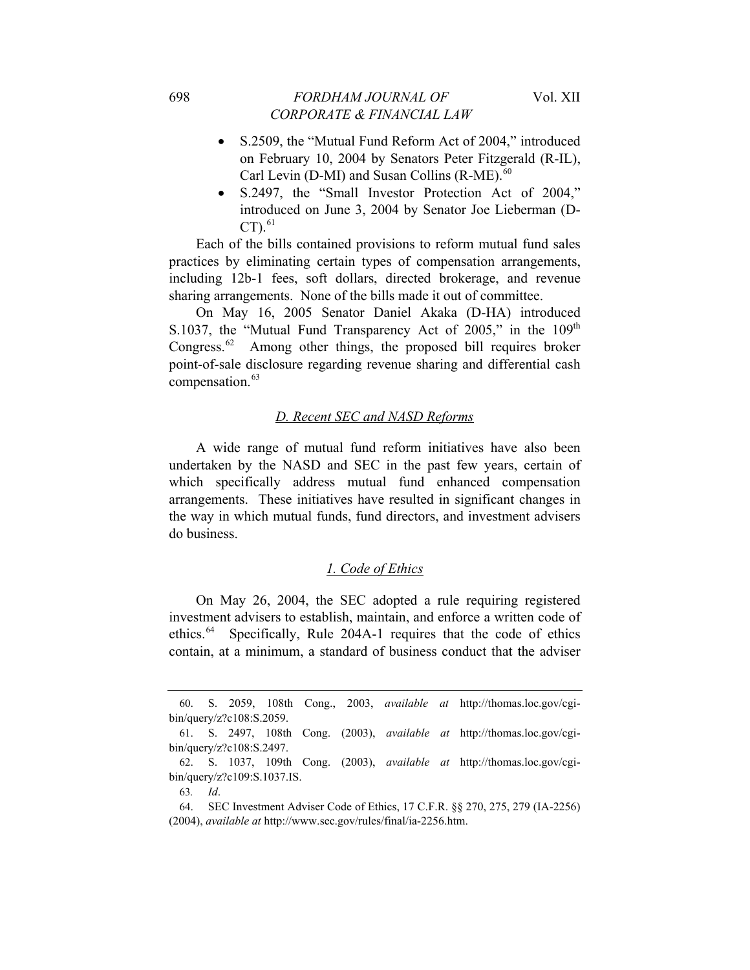- S.2509, the "Mutual Fund Reform Act of 2004," introduced on February 10, 2004 by Senators Peter Fitzgerald (R-IL), Carl Levin (D-MI) and Susan Collins  $(R-ME)$ .<sup>[60](#page-14-0)</sup>
- S.2497, the "Small Investor Protection Act of 2004," introduced on June 3, 2004 by Senator Joe Lieberman (D- $CT$ ).<sup>[61](#page-14-1)</sup>

Each of the bills contained provisions to reform mutual fund sales practices by eliminating certain types of compensation arrangements, including 12b-1 fees, soft dollars, directed brokerage, and revenue sharing arrangements. None of the bills made it out of committee.

On May 16, 2005 Senator Daniel Akaka (D-HA) introduced S.1037, the "Mutual Fund Transparency Act of 2005," in the  $109<sup>th</sup>$ Congress.<sup>[62](#page-14-2)</sup> Among other things, the proposed bill requires broker point-of-sale disclosure regarding revenue sharing and differential cash compensation.<sup>[63](#page-14-3)</sup>

#### *D. Recent SEC and NASD Reforms*

A wide range of mutual fund reform initiatives have also been undertaken by the NASD and SEC in the past few years, certain of which specifically address mutual fund enhanced compensation arrangements. These initiatives have resulted in significant changes in the way in which mutual funds, fund directors, and investment advisers do business.

#### *1. Code of Ethics*

On May 26, 2004, the SEC adopted a rule requiring registered investment advisers to establish, maintain, and enforce a written code of ethics.<sup>[64](#page-14-4)</sup> Specifically, Rule 204A-1 requires that the code of ethics contain, at a minimum, a standard of business conduct that the adviser

<span id="page-14-0"></span><sup>60.</sup> S. 2059, 108th Cong., 2003, *available at* http://thomas.loc.gov/cgibin/query/z?c108:S.2059.

<span id="page-14-1"></span><sup>61.</sup> S. 2497, 108th Cong. (2003), *available at* http://thomas.loc.gov/cgibin/query/z?c108:S.2497.

<span id="page-14-2"></span><sup>62.</sup> S. 1037, 109th Cong. (2003), *available at* http://thomas.loc.gov/cgibin/query/z?c109:S.1037.IS.

<sup>63</sup>*. Id*.

<span id="page-14-4"></span><span id="page-14-3"></span><sup>64.</sup> SEC Investment Adviser Code of Ethics, 17 C.F.R. §§ 270, 275, 279 (IA-2256) (2004), *available at* http://www.sec.gov/rules/final/ia-2256.htm.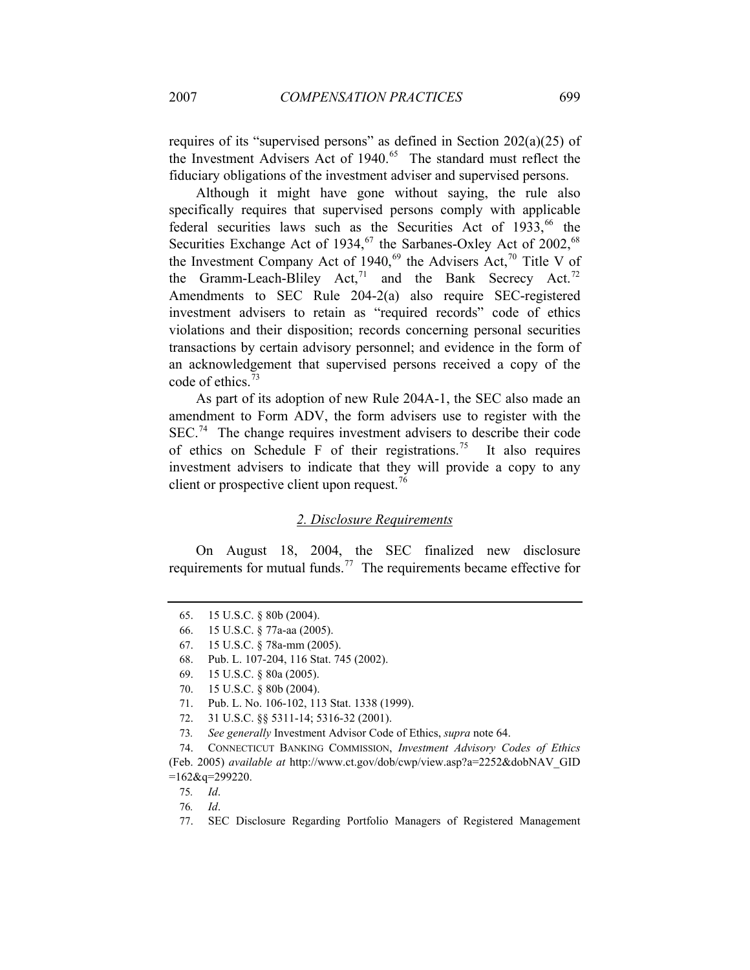requires of its "supervised persons" as defined in Section 202(a)(25) of the Investment Advisers Act of 1940.<sup>[65](#page-15-0)</sup> The standard must reflect the fiduciary obligations of the investment adviser and supervised persons.

Although it might have gone without saying, the rule also specifically requires that supervised persons comply with applicable federal securities laws such as the Securities Act of  $1933$ ,<sup>[66](#page-15-1)</sup> the Securities Exchange Act of 1934,  $67$  the Sarbanes-Oxley Act of 2002,  $68$ the Investment Company Act of 1940,<sup>[69](#page-15-4)</sup> the Advisers Act,<sup>[70](#page-15-5)</sup> Title V of the Gramm-Leach-Bliley Act,<sup>[71](#page-15-6)</sup> and the Bank Secrecy Act.<sup>72</sup> Amendments to SEC Rule 204-2(a) also require SEC-registered investment advisers to retain as "required records" code of ethics violations and their disposition; records concerning personal securities transactions by certain advisory personnel; and evidence in the form of an acknowledgement that supervised persons received a copy of the code of ethics.<sup>[73](#page-15-8)</sup>

As part of its adoption of new Rule 204A-1, the SEC also made an amendment to Form ADV, the form advisers use to register with the  $SEC.<sup>74</sup>$  $SEC.<sup>74</sup>$  $SEC.<sup>74</sup>$  The change requires investment advisers to describe their code of ethics on Schedule F of their registrations.<sup>[75](#page-15-10)</sup> It also requires investment advisers to indicate that they will provide a copy to any client or prospective client upon request.<sup>[76](#page-15-11)</sup>

# *2. Disclosure Requirements*

On August 18, 2004, the SEC finalized new disclosure requirements for mutual funds.<sup>[77](#page-15-12)</sup> The requirements became effective for

<span id="page-15-1"></span><span id="page-15-0"></span><sup>65. 15</sup> U.S.C. § 80b (2004).

<span id="page-15-2"></span><sup>66. 15</sup> U.S.C. § 77a-aa (2005).

<sup>67. 15</sup> U.S.C. § 78a-mm (2005).

<span id="page-15-3"></span><sup>68.</sup> Pub. L. 107-204, 116 Stat. 745 (2002).

<span id="page-15-4"></span><sup>69. 15</sup> U.S.C. § 80a (2005).

<sup>70. 15</sup> U.S.C. § 80b (2004).

<sup>71.</sup> Pub. L. No. 106-102, 113 Stat. 1338 (1999).

<sup>72. 31</sup> U.S.C. §§ 5311-14; 5316-32 (2001).

<sup>73</sup>*. See generally* Investment Advisor Code of Ethics, *supra* note 64.

<span id="page-15-11"></span><span id="page-15-10"></span><span id="page-15-9"></span><span id="page-15-8"></span><span id="page-15-7"></span><span id="page-15-6"></span><span id="page-15-5"></span><sup>74.</sup> CONNECTICUT BANKING COMMISSION, *Investment Advisory Codes of Ethics* (Feb. 2005) *available at* http://www.ct.gov/dob/cwp/view.asp?a=2252&dobNAV\_GID  $=162$ &q=299220.

<sup>75</sup>*. Id*.

<sup>76</sup>*. Id*.

<span id="page-15-12"></span><sup>77.</sup> SEC Disclosure Regarding Portfolio Managers of Registered Management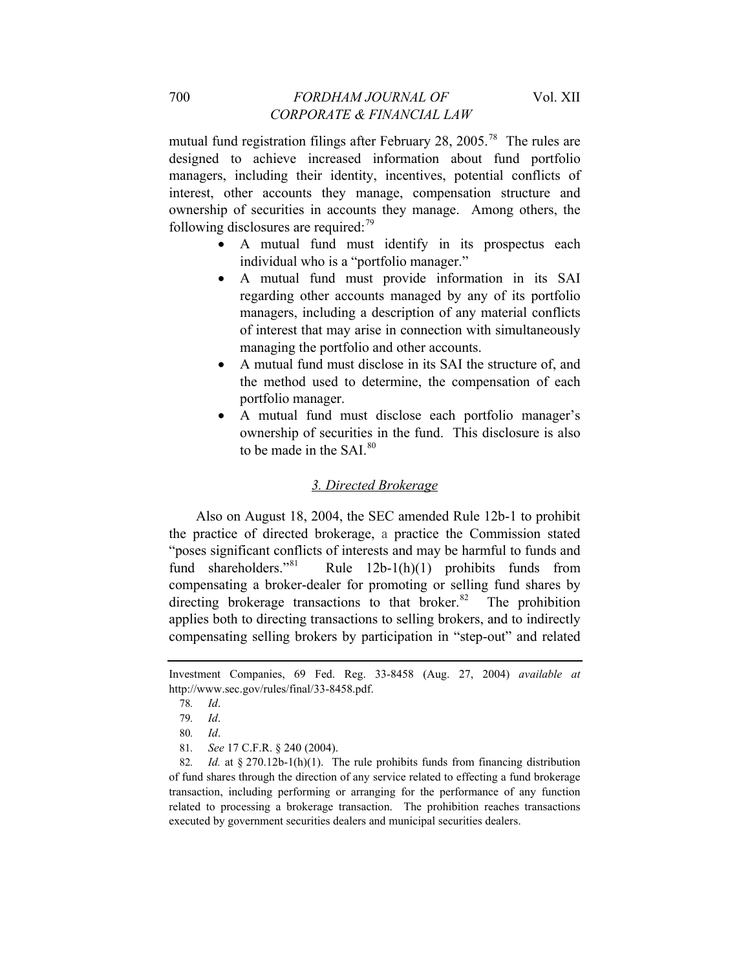mutual fund registration filings after February 28, 2005.[78](#page-16-0) The rules are designed to achieve increased information about fund portfolio managers, including their identity, incentives, potential conflicts of interest, other accounts they manage, compensation structure and ownership of securities in accounts they manage. Among others, the following disclosures are required: $\frac{79}{2}$  $\frac{79}{2}$  $\frac{79}{2}$ 

- A mutual fund must identify in its prospectus each individual who is a "portfolio manager."
- A mutual fund must provide information in its SAI regarding other accounts managed by any of its portfolio managers, including a description of any material conflicts of interest that may arise in connection with simultaneously managing the portfolio and other accounts.
- A mutual fund must disclose in its SAI the structure of, and the method used to determine, the compensation of each portfolio manager.
- A mutual fund must disclose each portfolio manager's ownership of securities in the fund. This disclosure is also to be made in the SAI $80$

#### *3. Directed Brokerage*

Also on August 18, 2004, the SEC amended Rule 12b-1 to prohibit the practice of directed brokerage, a practice the Commission stated "poses significant conflicts of interests and may be harmful to funds and fund shareholders."<sup>[81](#page-16-3)</sup> Rule 12b-1(h)(1) prohibits funds from compensating a broker-dealer for promoting or selling fund shares by directing brokerage transactions to that broker.<sup>[82](#page-16-4)</sup> The prohibition applies both to directing transactions to selling brokers, and to indirectly compensating selling brokers by participation in "step-out" and related

<span id="page-16-1"></span><span id="page-16-0"></span>Investment Companies, 69 Fed. Reg. 33-8458 (Aug. 27, 2004) *available at* http://www.sec.gov/rules/final/33-8458.pdf.

<sup>78</sup>*. Id*.

<sup>79</sup>*. Id*.

<sup>80</sup>*. Id*.

<sup>81</sup>*. See* 17 C.F.R. § 240 (2004).

<span id="page-16-4"></span><span id="page-16-3"></span><span id="page-16-2"></span><sup>82</sup>*. Id.* at § 270.12b-1(h)(1). The rule prohibits funds from financing distribution of fund shares through the direction of any service related to effecting a fund brokerage transaction, including performing or arranging for the performance of any function related to processing a brokerage transaction. The prohibition reaches transactions executed by government securities dealers and municipal securities dealers.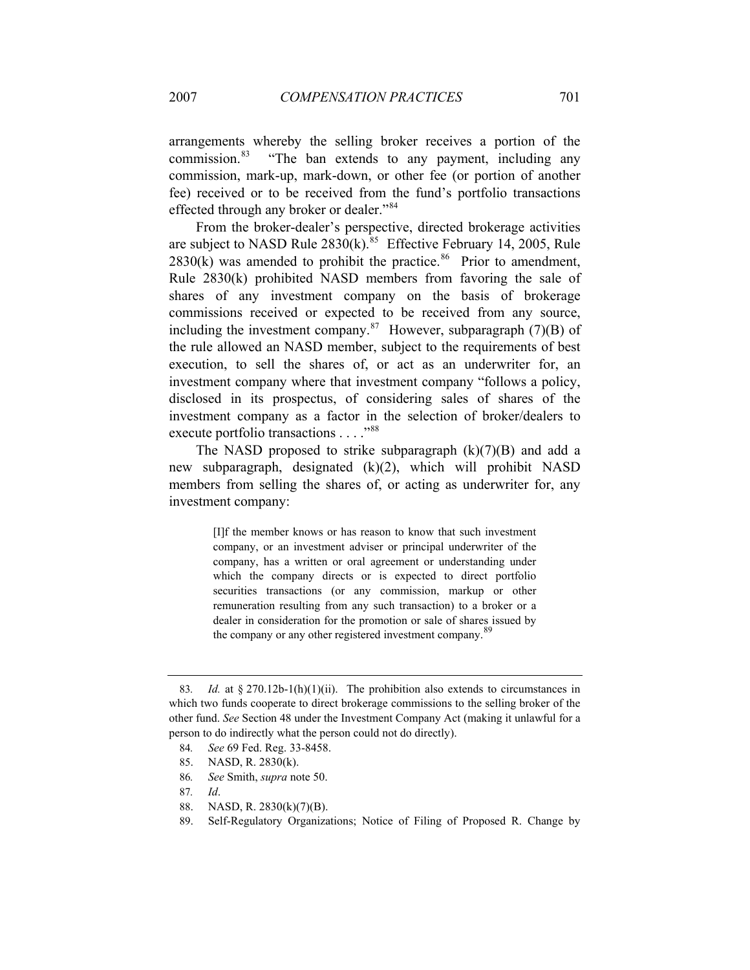arrangements whereby the selling broker receives a portion of the commission.<sup>[83](#page-17-0)</sup> "The ban extends to any payment, including any commission, mark-up, mark-down, or other fee (or portion of another fee) received or to be received from the fund's portfolio transactions effected through any broker or dealer."[84](#page-17-1)

From the broker-dealer's perspective, directed brokerage activities are subject to NASD Rule  $2830(k)$ .<sup>[85](#page-17-2)</sup> Effective February 14, 2005, Rule  $2830(k)$  was amended to prohibit the practice.<sup>[86](#page-17-3)</sup> Prior to amendment, Rule 2830(k) prohibited NASD members from favoring the sale of shares of any investment company on the basis of brokerage commissions received or expected to be received from any source, including the investment company.<sup>[87](#page-17-4)</sup> However, subparagraph  $(7)(B)$  of the rule allowed an NASD member, subject to the requirements of best execution, to sell the shares of, or act as an underwriter for, an investment company where that investment company "follows a policy, disclosed in its prospectus, of considering sales of shares of the investment company as a factor in the selection of broker/dealers to execute portfolio transactions . . . . "<sup>[88](#page-17-5)</sup>

The NASD proposed to strike subparagraph  $(k)(7)(B)$  and add a new subparagraph, designated (k)(2), which will prohibit NASD members from selling the shares of, or acting as underwriter for, any investment company:

> [I]f the member knows or has reason to know that such investment company, or an investment adviser or principal underwriter of the company, has a written or oral agreement or understanding under which the company directs or is expected to direct portfolio securities transactions (or any commission, markup or other remuneration resulting from any such transaction) to a broker or a dealer in consideration for the promotion or sale of shares issued by the company or any other registered investment company.<sup>[89](#page-17-6)</sup>

- 84*. See* 69 Fed. Reg. 33-8458.
- <span id="page-17-2"></span>85. NASD, R. 2830(k).
- 86*. See* Smith, *supra* note 50.

<span id="page-17-1"></span><span id="page-17-0"></span><sup>83.</sup> *Id.* at  $\S 270.12b-1(h)(1)(ii)$ . The prohibition also extends to circumstances in which two funds cooperate to direct brokerage commissions to the selling broker of the other fund. *See* Section 48 under the Investment Company Act (making it unlawful for a person to do indirectly what the person could not do directly).

<span id="page-17-5"></span><span id="page-17-4"></span><span id="page-17-3"></span><sup>87</sup>*. Id*.

<span id="page-17-6"></span><sup>88.</sup> NASD, R. 2830(k)(7)(B).

<sup>89.</sup> Self-Regulatory Organizations; Notice of Filing of Proposed R. Change by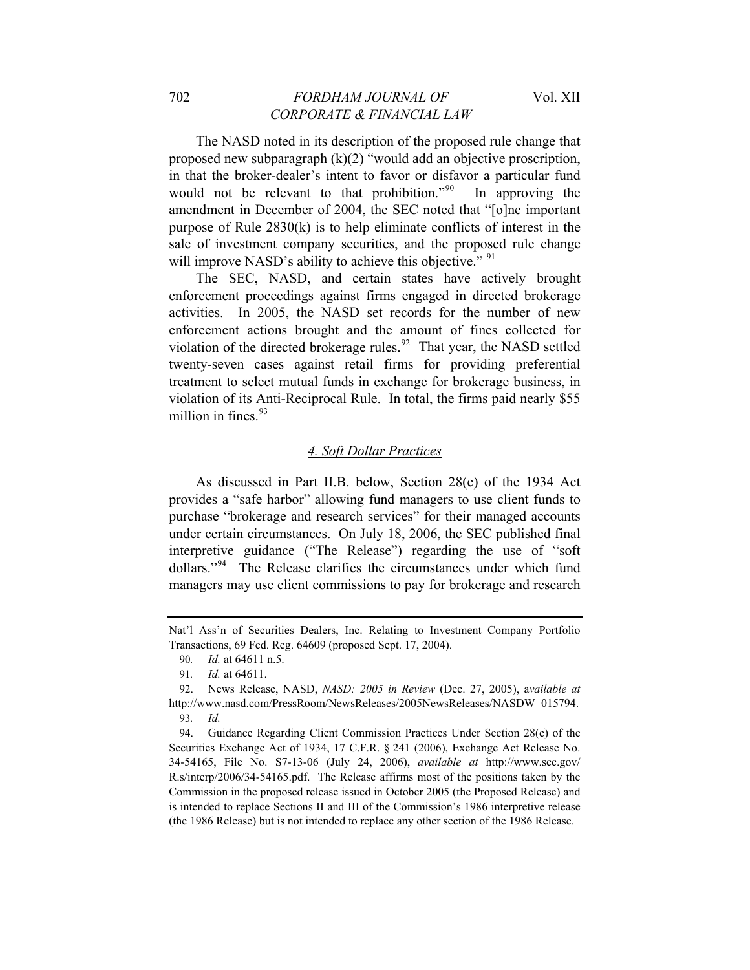The NASD noted in its description of the proposed rule change that proposed new subparagraph  $(k)(2)$  "would add an objective proscription, in that the broker-dealer's intent to favor or disfavor a particular fund would not be relevant to that prohibition."<sup>[90](#page-18-0)</sup> In approving the amendment in December of 2004, the SEC noted that "[o]ne important purpose of Rule 2830(k) is to help eliminate conflicts of interest in the sale of investment company securities, and the proposed rule change will improve NASD's ability to achieve this objective." <sup>[91](#page-18-1)</sup>

The SEC, NASD, and certain states have actively brought enforcement proceedings against firms engaged in directed brokerage activities. In 2005, the NASD set records for the number of new enforcement actions brought and the amount of fines collected for violation of the directed brokerage rules.<sup>[92](#page-18-2)</sup> That year, the NASD settled twenty-seven cases against retail firms for providing preferential treatment to select mutual funds in exchange for brokerage business, in violation of its Anti-Reciprocal Rule. In total, the firms paid nearly \$55 million in fines.  $93$ 

# *4. Soft Dollar Practices*

As discussed in Part II.B. below, Section 28(e) of the 1934 Act provides a "safe harbor" allowing fund managers to use client funds to purchase "brokerage and research services" for their managed accounts under certain circumstances. On July 18, 2006, the SEC published final interpretive guidance ("The Release") regarding the use of "soft dollars."<sup>[94](#page-18-4)</sup> The Release clarifies the circumstances under which fund managers may use client commissions to pay for brokerage and research

<span id="page-18-0"></span>Nat'l Ass'n of Securities Dealers, Inc. Relating to Investment Company Portfolio Transactions, 69 Fed. Reg. 64609 (proposed Sept. 17, 2004).

<sup>90</sup>*. Id.* at 64611 n.5.

<sup>91</sup>*. Id.* at 64611.

<span id="page-18-2"></span><span id="page-18-1"></span><sup>92.</sup> News Release, NASD, *NASD: 2005 in Review* (Dec. 27, 2005), a*vailable at*  http://www.nasd.com/PressRoom/NewsReleases/2005NewsReleases/NASDW\_015794. 93*. Id.*

<span id="page-18-4"></span><span id="page-18-3"></span><sup>94.</sup> Guidance Regarding Client Commission Practices Under Section 28(e) of the Securities Exchange Act of 1934, 17 C.F.R. § 241 (2006), Exchange Act Release No. 34-54165, File No. S7-13-06 (July 24, 2006), *available at* http://www.sec.gov/ R.s/interp/2006/34-54165.pdf. The Release affirms most of the positions taken by the Commission in the proposed release issued in October 2005 (the Proposed Release) and is intended to replace Sections II and III of the Commission's 1986 interpretive release (the 1986 Release) but is not intended to replace any other section of the 1986 Release.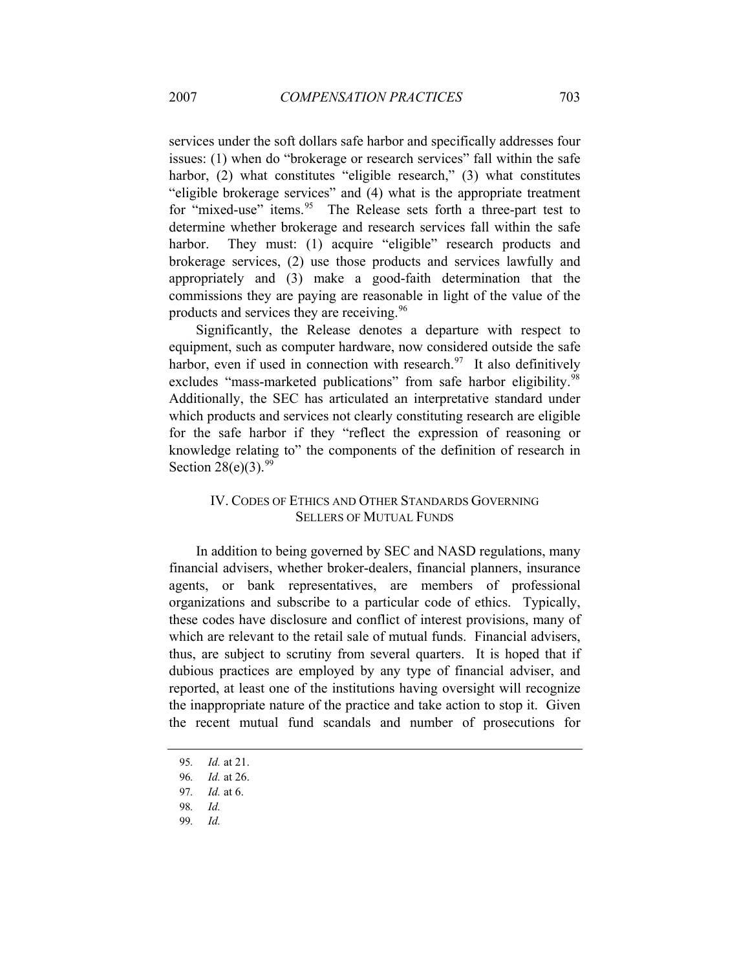services under the soft dollars safe harbor and specifically addresses four issues: (1) when do "brokerage or research services" fall within the safe harbor, (2) what constitutes "eligible research," (3) what constitutes "eligible brokerage services" and (4) what is the appropriate treatment for "mixed-use" items.<sup>[95](#page-19-0)</sup> The Release sets forth a three-part test to determine whether brokerage and research services fall within the safe harbor. They must: (1) acquire "eligible" research products and brokerage services, (2) use those products and services lawfully and appropriately and (3) make a good-faith determination that the commissions they are paying are reasonable in light of the value of the products and services they are receiving.<sup>[96](#page-19-1)</sup>

Significantly, the Release denotes a departure with respect to equipment, such as computer hardware, now considered outside the safe harbor, even if used in connection with research. $97$  It also definitively excludes "mass-marketed publications" from safe harbor eligibility.<sup>[98](#page-19-3)</sup> Additionally, the SEC has articulated an interpretative standard under which products and services not clearly constituting research are eligible for the safe harbor if they "reflect the expression of reasoning or knowledge relating to" the components of the definition of research in Section  $28(e)(3)$ .<sup>[99](#page-19-4)</sup>

# IV. CODES OF ETHICS AND OTHER STANDARDS GOVERNING SELLERS OF MUTUAL FUNDS

In addition to being governed by SEC and NASD regulations, many financial advisers, whether broker-dealers, financial planners, insurance agents, or bank representatives, are members of professional organizations and subscribe to a particular code of ethics. Typically, these codes have disclosure and conflict of interest provisions, many of which are relevant to the retail sale of mutual funds. Financial advisers, thus, are subject to scrutiny from several quarters. It is hoped that if dubious practices are employed by any type of financial adviser, and reported, at least one of the institutions having oversight will recognize the inappropriate nature of the practice and take action to stop it. Given the recent mutual fund scandals and number of prosecutions for

<span id="page-19-0"></span><sup>95</sup>*. Id.* at 21.

<span id="page-19-1"></span><sup>96</sup>*. Id.* at 26.

<sup>97</sup>*. Id.* at 6.

<span id="page-19-2"></span><sup>98</sup>*. Id.*

<span id="page-19-4"></span><span id="page-19-3"></span><sup>99</sup>*. Id.*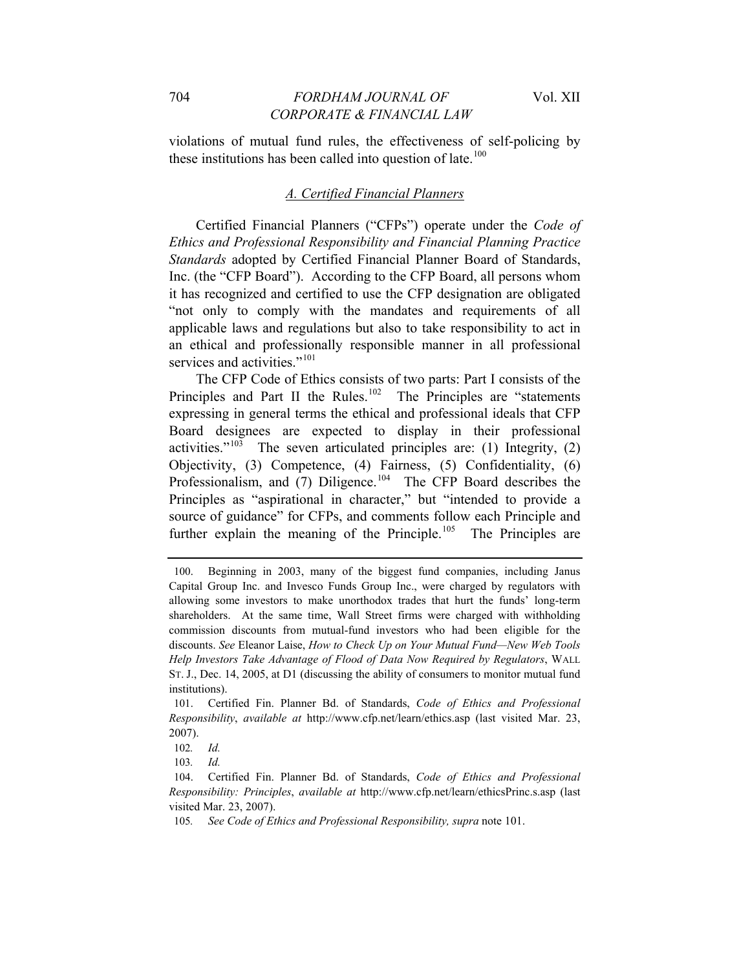violations of mutual fund rules, the effectiveness of self-policing by these institutions has been called into question of late. $100$ 

#### *A. Certified Financial Planners*

Certified Financial Planners ("CFPs") operate under the *Code of Ethics and Professional Responsibility and Financial Planning Practice Standards* adopted by Certified Financial Planner Board of Standards, Inc. (the "CFP Board"). According to the CFP Board, all persons whom it has recognized and certified to use the CFP designation are obligated "not only to comply with the mandates and requirements of all applicable laws and regulations but also to take responsibility to act in an ethical and professionally responsible manner in all professional services and activities."<sup>[101](#page-20-1)</sup>

The CFP Code of Ethics consists of two parts: Part I consists of the Principles and Part II the Rules.<sup>[102](#page-20-2)</sup> The Principles are "statements" expressing in general terms the ethical and professional ideals that CFP Board designees are expected to display in their professional activities." $103$  The seven articulated principles are: (1) Integrity, (2) Objectivity, (3) Competence, (4) Fairness, (5) Confidentiality, (6) Professionalism, and  $(7)$  Diligence.<sup>[104](#page-20-4)</sup> The CFP Board describes the Principles as "aspirational in character," but "intended to provide a source of guidance" for CFPs, and comments follow each Principle and further explain the meaning of the Principle.<sup>[105](#page-20-5)</sup> The Principles are

<span id="page-20-0"></span><sup>100.</sup> Beginning in 2003, many of the biggest fund companies, including Janus Capital Group Inc. and Invesco Funds Group Inc., were charged by regulators with allowing some investors to make unorthodox trades that hurt the funds' long-term shareholders. At the same time, Wall Street firms were charged with withholding commission discounts from mutual-fund investors who had been eligible for the discounts. *See* Eleanor Laise, *How to Check Up on Your Mutual Fund—New Web Tools Help Investors Take Advantage of Flood of Data Now Required by Regulators*, WALL ST. J., Dec. 14, 2005, at D1 (discussing the ability of consumers to monitor mutual fund institutions).

<span id="page-20-1"></span><sup>101.</sup> Certified Fin. Planner Bd. of Standards, *Code of Ethics and Professional Responsibility*, *available at* http://www.cfp.net/learn/ethics.asp (last visited Mar. 23, 2007).

<sup>102</sup>*. Id.*

<sup>103</sup>*. Id.*

<span id="page-20-4"></span><span id="page-20-3"></span><span id="page-20-2"></span><sup>104.</sup> Certified Fin. Planner Bd. of Standards, *Code of Ethics and Professional Responsibility: Principles*, *available at* http://www.cfp.net/learn/ethicsPrinc.s.asp (last visited Mar. 23, 2007).

<span id="page-20-5"></span><sup>105</sup>*. See Code of Ethics and Professional Responsibility, supra* note 101.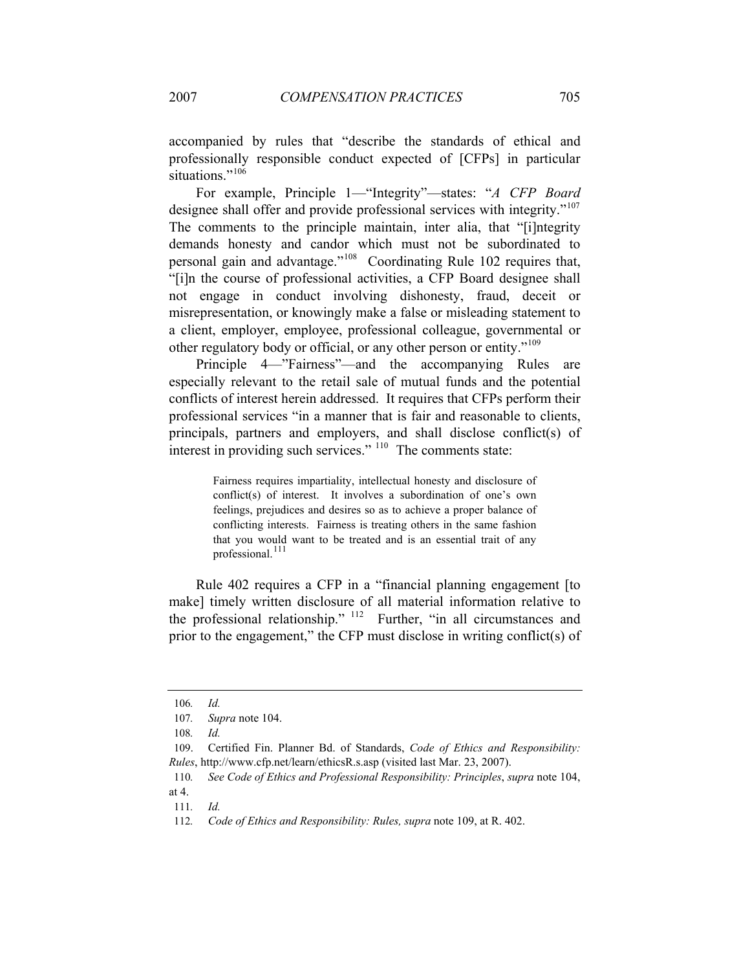accompanied by rules that "describe the standards of ethical and professionally responsible conduct expected of [CFPs] in particular situations<sup>",[106](#page-21-0)</sup>

For example, Principle 1—"Integrity"—states: "*A CFP Board*  designee shall offer and provide professional services with integrity."<sup>[107](#page-21-1)</sup> The comments to the principle maintain, inter alia, that "[i]ntegrity demands honesty and candor which must not be subordinated to personal gain and advantage."[108](#page-21-2) Coordinating Rule 102 requires that, "[i]n the course of professional activities, a CFP Board designee shall not engage in conduct involving dishonesty, fraud, deceit or misrepresentation, or knowingly make a false or misleading statement to a client, employer, employee, professional colleague, governmental or other regulatory body or official, or any other person or entity."[109](#page-21-3)

Principle 4—"Fairness"—and the accompanying Rules are especially relevant to the retail sale of mutual funds and the potential conflicts of interest herein addressed. It requires that CFPs perform their professional services "in a manner that is fair and reasonable to clients, principals, partners and employers, and shall disclose conflict(s) of interest in providing such services."  $110$  The comments state:

> Fairness requires impartiality, intellectual honesty and disclosure of conflict(s) of interest. It involves a subordination of one's own feelings, prejudices and desires so as to achieve a proper balance of conflicting interests. Fairness is treating others in the same fashion that you would want to be treated and is an essential trait of any professional.<sup>[111](#page-21-5)</sup>

Rule 402 requires a CFP in a "financial planning engagement [to make] timely written disclosure of all material information relative to the professional relationship." <sup>[112](#page-21-6)</sup> Further, "in all circumstances and prior to the engagement," the CFP must disclose in writing conflict(s) of

<span id="page-21-0"></span><sup>106</sup>*. Id.*

<sup>107</sup>*. Supra* note 104.

<sup>108</sup>*. Id.*

<span id="page-21-3"></span><span id="page-21-2"></span><span id="page-21-1"></span><sup>109.</sup> Certified Fin. Planner Bd. of Standards, *Code of Ethics and Responsibility: Rules*, http://www.cfp.net/learn/ethicsR.s.asp (visited last Mar. 23, 2007).

<span id="page-21-5"></span><span id="page-21-4"></span><sup>110</sup>*. See Code of Ethics and Professional Responsibility: Principles*, *supra* note 104, at 4.

<sup>111</sup>*. Id.*

<span id="page-21-6"></span><sup>112</sup>*. Code of Ethics and Responsibility: Rules, supra* note 109, at R. 402.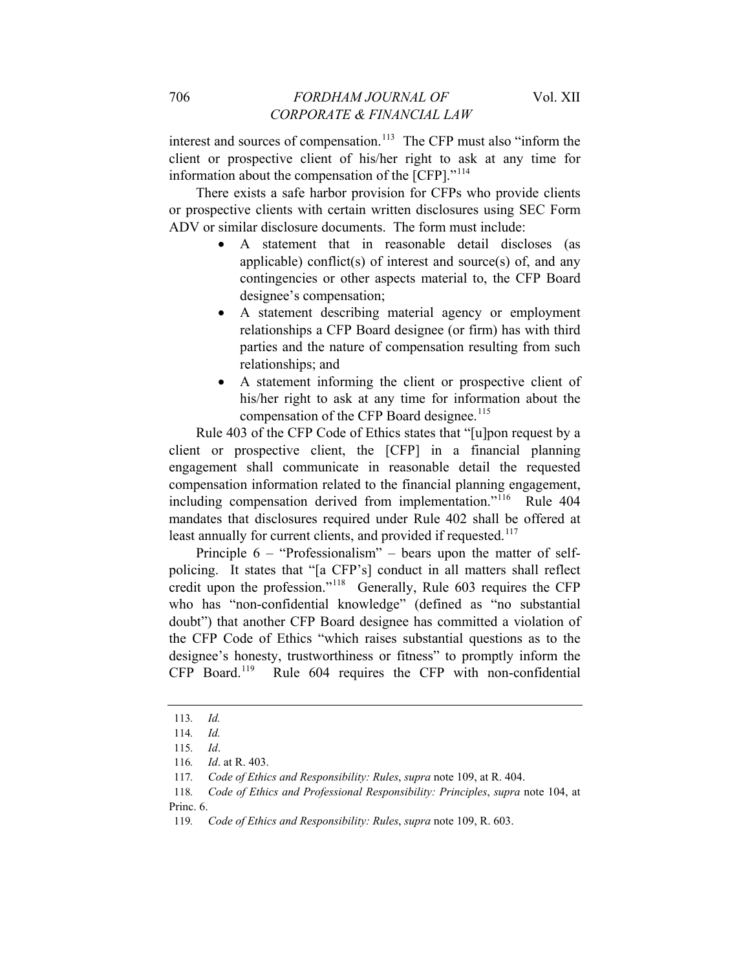interest and sources of compensation.<sup>[113](#page-22-0)</sup> The CFP must also "inform the client or prospective client of his/her right to ask at any time for information about the compensation of the [CFP]."<sup>[114](#page-22-1)</sup>

There exists a safe harbor provision for CFPs who provide clients or prospective clients with certain written disclosures using SEC Form ADV or similar disclosure documents. The form must include:

- A statement that in reasonable detail discloses (as applicable) conflict(s) of interest and source(s) of, and any contingencies or other aspects material to, the CFP Board designee's compensation;
- A statement describing material agency or employment relationships a CFP Board designee (or firm) has with third parties and the nature of compensation resulting from such relationships; and
- A statement informing the client or prospective client of his/her right to ask at any time for information about the compensation of the CFP Board designee.<sup>[115](#page-22-2)</sup>

Rule 403 of the CFP Code of Ethics states that "[u]pon request by a client or prospective client, the [CFP] in a financial planning engagement shall communicate in reasonable detail the requested compensation information related to the financial planning engagement, including compensation derived from implementation."<sup>[116](#page-22-3)</sup> Rule 404 mandates that disclosures required under Rule 402 shall be offered at least annually for current clients, and provided if requested.<sup>[117](#page-22-4)</sup>

Principle 6 – "Professionalism" – bears upon the matter of selfpolicing. It states that "[a CFP's] conduct in all matters shall reflect credit upon the profession."[118](#page-22-5) Generally, Rule 603 requires the CFP who has "non-confidential knowledge" (defined as "no substantial doubt") that another CFP Board designee has committed a violation of the CFP Code of Ethics "which raises substantial questions as to the designee's honesty, trustworthiness or fitness" to promptly inform the CFP Board.[119](#page-22-6) Rule 604 requires the CFP with non-confidential

<sup>113</sup>*. Id.*

<span id="page-22-2"></span><span id="page-22-1"></span><span id="page-22-0"></span><sup>114</sup>*. Id.*

<sup>115</sup>*. Id*.

<sup>116</sup>*. Id*. at R. 403.

<sup>117</sup>*. Code of Ethics and Responsibility: Rules*, *supra* note 109, at R. 404.

<span id="page-22-6"></span><span id="page-22-5"></span><span id="page-22-4"></span><span id="page-22-3"></span><sup>118</sup>*. Code of Ethics and Professional Responsibility: Principles*, *supra* note 104, at Princ. 6.

<sup>119</sup>*. Code of Ethics and Responsibility: Rules*, *supra* note 109, R. 603.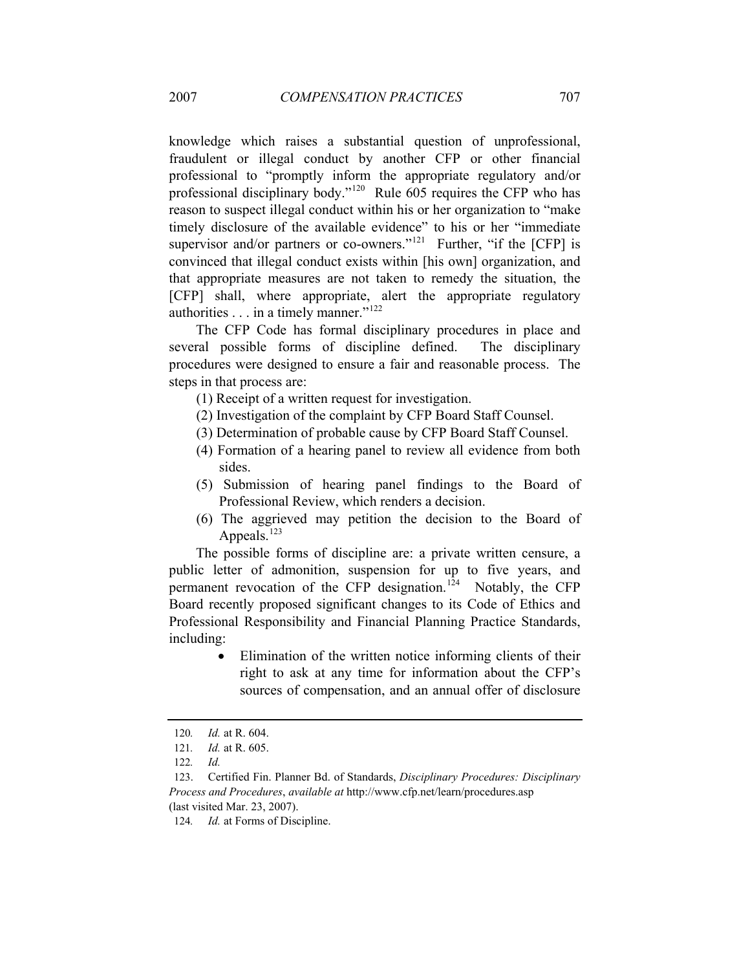knowledge which raises a substantial question of unprofessional, fraudulent or illegal conduct by another CFP or other financial professional to "promptly inform the appropriate regulatory and/or professional disciplinary body."[120](#page-23-0) Rule 605 requires the CFP who has reason to suspect illegal conduct within his or her organization to "make timely disclosure of the available evidence" to his or her "immediate supervisor and/or partners or co-owners."<sup>[121](#page-23-1)</sup> Further, "if the  $[CFP]$  is convinced that illegal conduct exists within [his own] organization, and that appropriate measures are not taken to remedy the situation, the [CFP] shall, where appropriate, alert the appropriate regulatory authorities . . . in a timely manner."<sup>[122](#page-23-2)</sup>

The CFP Code has formal disciplinary procedures in place and several possible forms of discipline defined. The disciplinary procedures were designed to ensure a fair and reasonable process. The steps in that process are:

- (1) Receipt of a written request for investigation.
- (2) Investigation of the complaint by CFP Board Staff Counsel.
- (3) Determination of probable cause by CFP Board Staff Counsel.
- (4) Formation of a hearing panel to review all evidence from both sides.
- (5) Submission of hearing panel findings to the Board of Professional Review, which renders a decision.
- (6) The aggrieved may petition the decision to the Board of Appeals. $123$

The possible forms of discipline are: a private written censure, a public letter of admonition, suspension for up to five years, and permanent revocation of the CFP designation.<sup>[124](#page-23-4)</sup> Notably, the CFP Board recently proposed significant changes to its Code of Ethics and Professional Responsibility and Financial Planning Practice Standards, including:

> Elimination of the written notice informing clients of their right to ask at any time for information about the CFP's sources of compensation, and an annual offer of disclosure

<sup>120</sup>*. Id.* at R. 604.

<span id="page-23-0"></span><sup>121</sup>*. Id.* at R. 605.

<sup>122</sup>*. Id.*

<span id="page-23-4"></span><span id="page-23-3"></span><span id="page-23-2"></span><span id="page-23-1"></span><sup>123.</sup> Certified Fin. Planner Bd. of Standards, *Disciplinary Procedures: Disciplinary Process and Procedures*, *available at* http://www.cfp.net/learn/procedures.asp (last visited Mar. 23, 2007).

<sup>124</sup>*. Id.* at Forms of Discipline.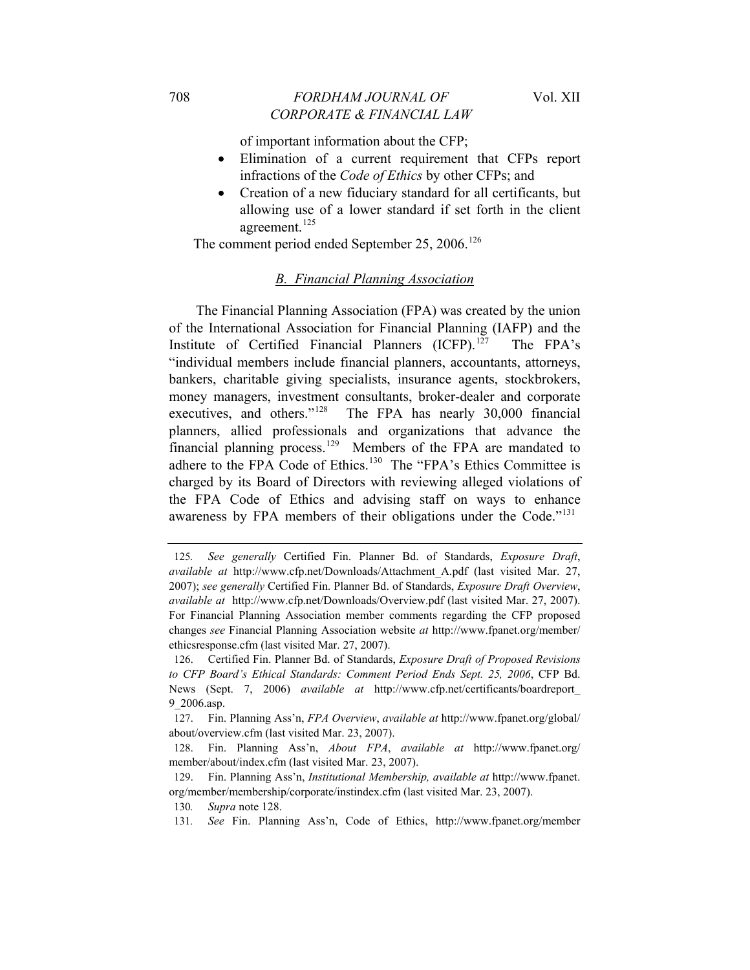of important information about the CFP;

- Elimination of a current requirement that CFPs report infractions of the *Code of Ethics* by other CFPs; and
- Creation of a new fiduciary standard for all certificants, but allowing use of a lower standard if set forth in the client agreement.<sup>[125](#page-24-0)</sup>

The comment period ended September 25, 2006.<sup>[126](#page-24-1)</sup>

#### *B. Financial Planning Association*

The Financial Planning Association (FPA) was created by the union of the International Association for Financial Planning (IAFP) and the Institute of Certified Financial Planners (ICFP).<sup>[127](#page-24-2)</sup> The FPA's "individual members include financial planners, accountants, attorneys, bankers, charitable giving specialists, insurance agents, stockbrokers, money managers, investment consultants, broker-dealer and corporate executives, and others."<sup>[128](#page-24-3)</sup> The FPA has nearly 30,000 financial planners, allied professionals and organizations that advance the financial planning process.<sup>[129](#page-24-4)</sup> Members of the FPA are mandated to adhere to the FPA Code of Ethics.<sup>[130](#page-24-5)</sup> The "FPA's Ethics Committee is charged by its Board of Directors with reviewing alleged violations of the FPA Code of Ethics and advising staff on ways to enhance awareness by FPA members of their obligations under the Code."<sup>[131](#page-24-6)</sup>

<span id="page-24-0"></span><sup>125</sup>*. See generally* Certified Fin. Planner Bd. of Standards, *Exposure Draft*, *available at* http://www.cfp.net/Downloads/Attachment\_A.pdf (last visited Mar. 27, 2007); *see generally* Certified Fin. Planner Bd. of Standards, *Exposure Draft Overview*, *available at* http://www.cfp.net/Downloads/Overview.pdf (last visited Mar. 27, 2007). For Financial Planning Association member comments regarding the CFP proposed changes *see* Financial Planning Association website *at* http://www.fpanet.org/member/ ethicsresponse.cfm (last visited Mar. 27, 2007).

<span id="page-24-1"></span><sup>126.</sup> Certified Fin. Planner Bd. of Standards, *Exposure Draft of Proposed Revisions to CFP Board's Ethical Standards: Comment Period Ends Sept. 25, 2006*, CFP Bd. News (Sept. 7, 2006) *available at* http://www.cfp.net/certificants/boardreport\_ 9\_2006.asp.

<span id="page-24-2"></span><sup>127.</sup> Fin. Planning Ass'n, *FPA Overview*, *available at* http://www.fpanet.org/global/ about/overview.cfm (last visited Mar. 23, 2007).

<span id="page-24-3"></span><sup>128.</sup> Fin. Planning Ass'n, *About FPA*, *available at* http://www.fpanet.org/ member/about/index.cfm (last visited Mar. 23, 2007).

<span id="page-24-5"></span><span id="page-24-4"></span><sup>129.</sup> Fin. Planning Ass'n, *Institutional Membership, available at* http://www.fpanet. org/member/membership/corporate/instindex.cfm (last visited Mar. 23, 2007).

<span id="page-24-6"></span><sup>130</sup>*. Supra* note 128.

<sup>131</sup>*. See* Fin. Planning Ass'n, Code of Ethics, http://www.fpanet.org/member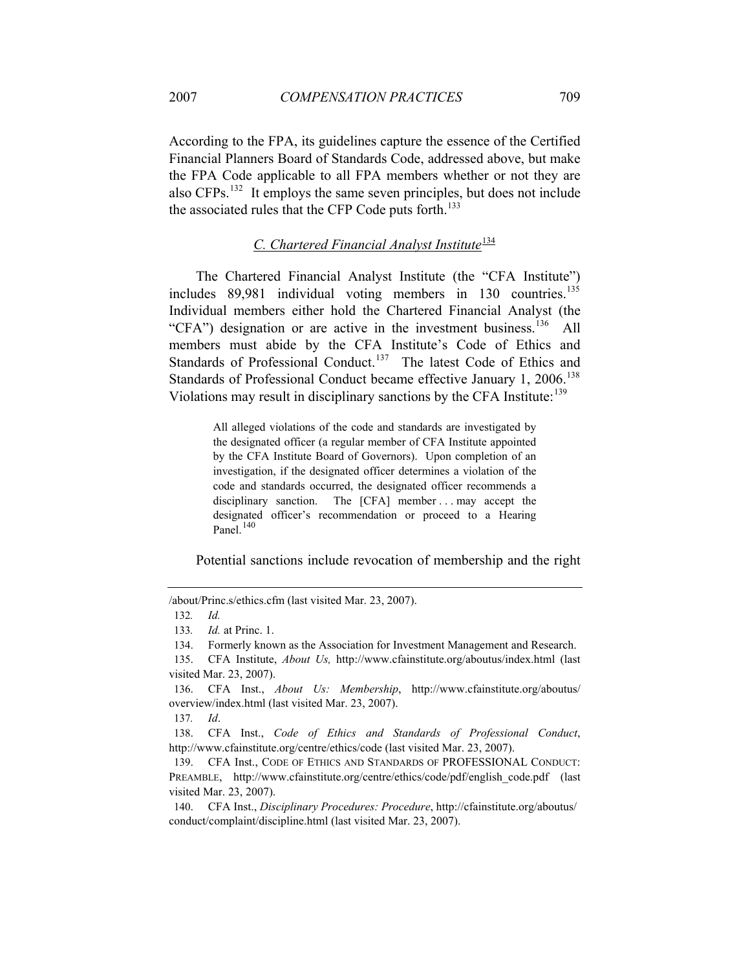According to the FPA, its guidelines capture the essence of the Certified Financial Planners Board of Standards Code, addressed above, but make the FPA Code applicable to all FPA members whether or not they are also CFPs.[132](#page-25-0) It employs the same seven principles, but does not include the associated rules that the CFP Code puts forth.<sup>[133](#page-25-1)</sup>

# *C. Chartered Financial Analyst Institute*[134](#page-25-2)

The Chartered Financial Analyst Institute (the "CFA Institute") includes 89,981 individual voting members in 130 countries.<sup>[135](#page-25-3)</sup> Individual members either hold the Chartered Financial Analyst (the "CFA") designation or are active in the investment business.<sup>[136](#page-25-4)</sup> All members must abide by the CFA Institute's Code of Ethics and Standards of Professional Conduct.<sup>[137](#page-25-5)</sup> The latest Code of Ethics and Standards of Professional Conduct became effective January 1, 2006.<sup>[138](#page-25-6)</sup> Violations may result in disciplinary sanctions by the CFA Institute:<sup>[139](#page-25-7)</sup>

> All alleged violations of the code and standards are investigated by the designated officer (a regular member of CFA Institute appointed by the CFA Institute Board of Governors). Upon completion of an investigation, if the designated officer determines a violation of the code and standards occurred, the designated officer recommends a disciplinary sanction. The [CFA] member ... may accept the designated officer's recommendation or proceed to a Hearing Panel $140$

Potential sanctions include revocation of membership and the right

137*. Id*.

<span id="page-25-6"></span><span id="page-25-5"></span>138. CFA Inst., *Code of Ethics and Standards of Professional Conduct*, http://www.cfainstitute.org/centre/ethics/code (last visited Mar. 23, 2007).

<span id="page-25-1"></span><span id="page-25-0"></span><sup>/</sup>about/Princ.s/ethics.cfm (last visited Mar. 23, 2007).

<sup>132</sup>*. Id.*

<sup>133</sup>*. Id.* at Princ. 1.

<sup>134.</sup> Formerly known as the Association for Investment Management and Research.

<span id="page-25-3"></span><span id="page-25-2"></span><sup>135.</sup> CFA Institute, *About Us,* http://www.cfainstitute.org/aboutus/index.html (last visited Mar. 23, 2007).

<span id="page-25-4"></span><sup>136.</sup> CFA Inst., *About Us: Membership*, http://www.cfainstitute.org/aboutus/ overview/index.html (last visited Mar. 23, 2007).

<span id="page-25-7"></span><sup>139.</sup> CFA Inst., CODE OF ETHICS AND STANDARDS OF PROFESSIONAL CONDUCT: PREAMBLE, http://www.cfainstitute.org/centre/ethics/code/pdf/english\_code.pdf (last visited Mar. 23, 2007).

<span id="page-25-8"></span><sup>140.</sup> CFA Inst., *Disciplinary Procedures: Procedure*, http://cfainstitute.org/aboutus/ conduct/complaint/discipline.html (last visited Mar. 23, 2007).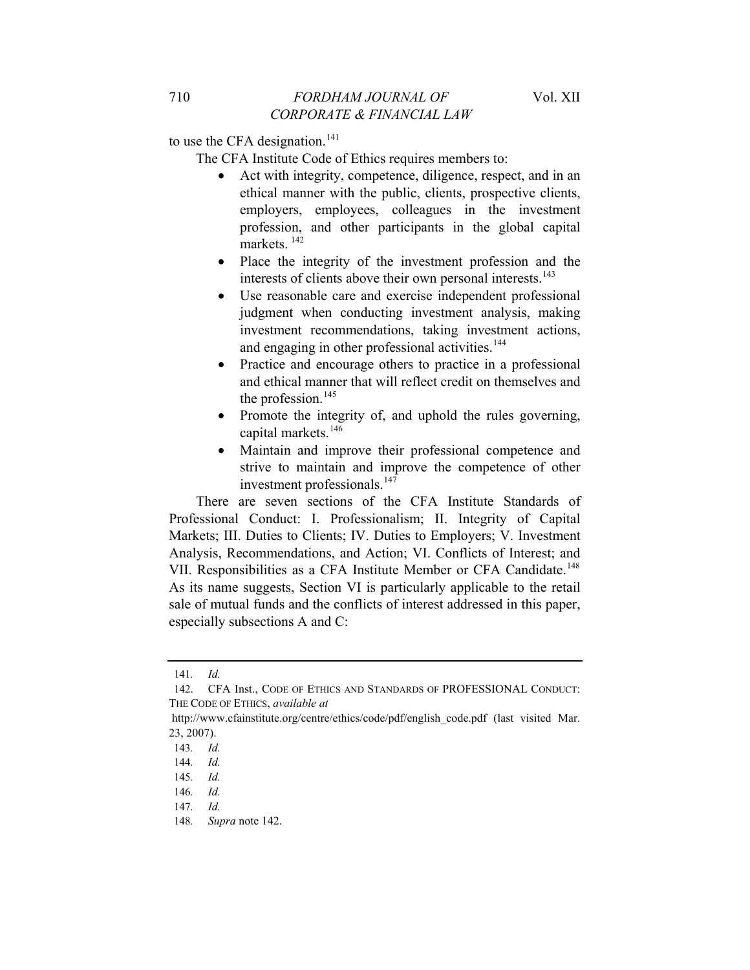to use the CFA designation.<sup>[141](#page-26-0)</sup>

- The CFA Institute Code of Ethics requires members to:
	- Act with integrity, competence, diligence, respect, and in an ethical manner with the public, clients, prospective clients, employers, employees, colleagues in the investment profession, and other participants in the global capital  $m$ arkets<sup>[142](#page-26-1)</sup>
	- Place the integrity of the investment profession and the interests of clients above their own personal interests.<sup>[143](#page-26-2)</sup>
	- Use reasonable care and exercise independent professional judgment when conducting investment analysis, making investment recommendations, taking investment actions, and engaging in other professional activities.<sup>[144](#page-26-3)</sup>
	- Practice and encourage others to practice in a professional and ethical manner that will reflect credit on themselves and the profession. $145$
	- Promote the integrity of, and uphold the rules governing, capital markets.<sup>[146](#page-26-5)</sup>
	- Maintain and improve their professional competence and strive to maintain and improve the competence of other investment professionals.<sup>[147](#page-26-6)</sup>

There are seven sections of the CFA Institute Standards of Professional Conduct: I. Professionalism; II. Integrity of Capital Markets; III. Duties to Clients; IV. Duties to Employers; V. Investment Analysis, Recommendations, and Action; VI. Conflicts of Interest; and VII. Responsibilities as a CFA Institute Member or CFA Candidate.<sup>[148](#page-26-7)</sup> As its name suggests, Section VI is particularly applicable to the retail sale of mutual funds and the conflicts of interest addressed in this paper, especially subsections A and C:

<sup>141</sup>*. Id.*

<span id="page-26-1"></span><span id="page-26-0"></span><sup>142.</sup> CFA Inst., CODE OF ETHICS AND STANDARDS OF PROFESSIONAL CONDUCT: THE CODE OF ETHICS, *available at*

<span id="page-26-2"></span>http://www.cfainstitute.org/centre/ethics/code/pdf/english\_code.pdf (last visited Mar. 23, 2007).

<span id="page-26-3"></span><sup>143</sup>*. Id.*

<span id="page-26-4"></span><sup>144</sup>*. Id.*

<sup>145</sup>*. Id.*

<span id="page-26-5"></span><sup>146</sup>*. Id.*

<span id="page-26-7"></span><span id="page-26-6"></span><sup>147</sup>*. Id.*

<sup>148</sup>*. Supra* note 142.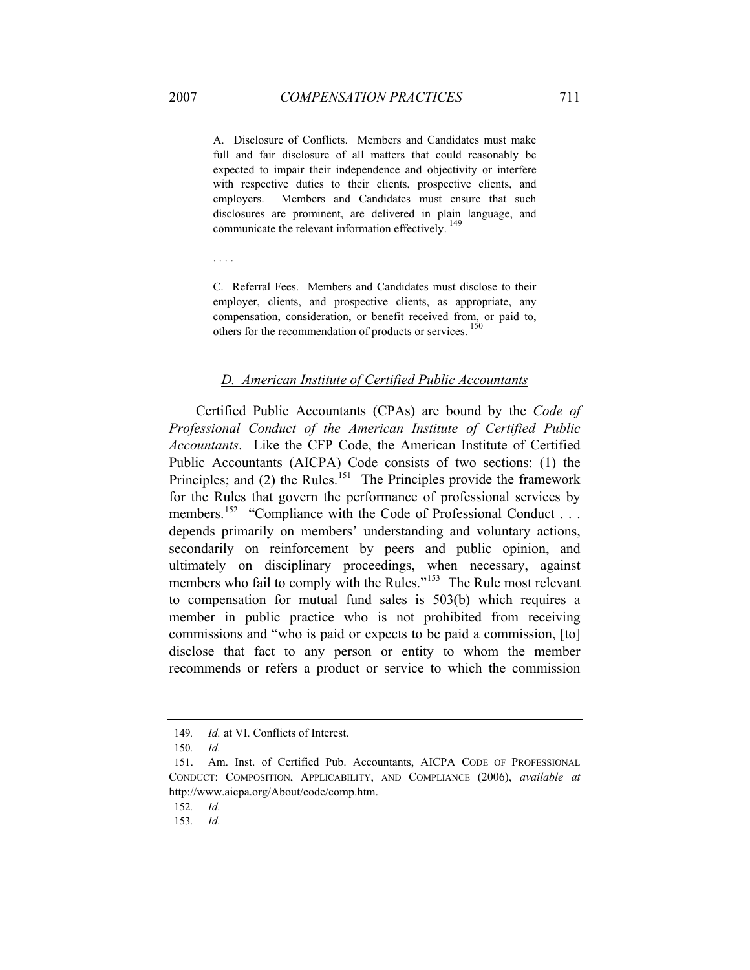A. Disclosure of Conflicts. Members and Candidates must make full and fair disclosure of all matters that could reasonably be expected to impair their independence and objectivity or interfere with respective duties to their clients, prospective clients, and employers. Members and Candidates must ensure that such disclosures are prominent, are delivered in plain language, and communicate the relevant information effectively.<sup>[149](#page-27-0)</sup>

. . . .

C. Referral Fees. Members and Candidates must disclose to their employer, clients, and prospective clients, as appropriate, any compensation, consideration, or benefit received from, or paid to, others for the recommendation of products or services.<sup>1</sup>

### *D. American Institute of Certified Public Accountants*

Certified Public Accountants (CPAs) are bound by the *Code of Professional Conduct of the American Institute of Certified Public Accountants*. Like the CFP Code, the American Institute of Certified Public Accountants (AICPA) Code consists of two sections: (1) the Principles; and  $(2)$  the Rules.<sup>[151](#page-27-2)</sup> The Principles provide the framework for the Rules that govern the performance of professional services by members.<sup>[152](#page-27-3)</sup> "Compliance with the Code of Professional Conduct . . . depends primarily on members' understanding and voluntary actions, secondarily on reinforcement by peers and public opinion, and ultimately on disciplinary proceedings, when necessary, against members who fail to comply with the Rules."<sup>[153](#page-27-4)</sup> The Rule most relevant to compensation for mutual fund sales is 503(b) which requires a member in public practice who is not prohibited from receiving commissions and "who is paid or expects to be paid a commission, [to] disclose that fact to any person or entity to whom the member recommends or refers a product or service to which the commission

<sup>149</sup>*. Id.* at VI. Conflicts of Interest.

<sup>150</sup>*. Id.*

<span id="page-27-2"></span><span id="page-27-1"></span><span id="page-27-0"></span><sup>151.</sup> Am. Inst. of Certified Pub. Accountants, AICPA CODE OF PROFESSIONAL CONDUCT: COMPOSITION, APPLICABILITY, AND COMPLIANCE (2006), *available at*  http://www.aicpa.org/About/code/comp.htm.

<span id="page-27-3"></span><sup>152</sup>*. Id.*

<span id="page-27-4"></span><sup>153</sup>*. Id.*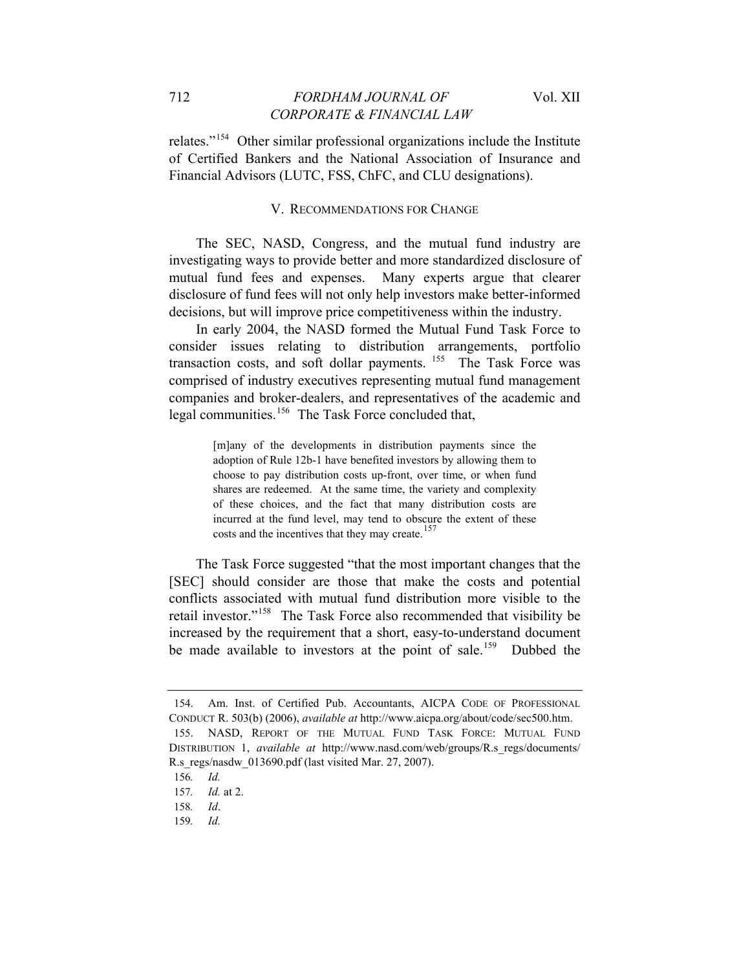relates."[154](#page-28-0) Other similar professional organizations include the Institute of Certified Bankers and the National Association of Insurance and Financial Advisors (LUTC, FSS, ChFC, and CLU designations).

#### V. RECOMMENDATIONS FOR CHANGE

The SEC, NASD, Congress, and the mutual fund industry are investigating ways to provide better and more standardized disclosure of mutual fund fees and expenses. Many experts argue that clearer disclosure of fund fees will not only help investors make better-informed decisions, but will improve price competitiveness within the industry.

In early 2004, the NASD formed the Mutual Fund Task Force to consider issues relating to distribution arrangements, portfolio transaction costs, and soft dollar payments. <sup>[155](#page-28-1)</sup> The Task Force was comprised of industry executives representing mutual fund management companies and broker-dealers, and representatives of the academic and legal communities.<sup>[156](#page-28-2)</sup> The Task Force concluded that,

> [m]any of the developments in distribution payments since the adoption of Rule 12b-1 have benefited investors by allowing them to choose to pay distribution costs up-front, over time, or when fund shares are redeemed. At the same time, the variety and complexity of these choices, and the fact that many distribution costs are incurred at the fund level, may tend to obscure the extent of these costs and the incentives that they may create.<sup>[157](#page-28-3)</sup>

The Task Force suggested "that the most important changes that the [SEC] should consider are those that make the costs and potential conflicts associated with mutual fund distribution more visible to the retail investor."[158](#page-28-4) The Task Force also recommended that visibility be increased by the requirement that a short, easy-to-understand document be made available to investors at the point of sale.<sup>[159](#page-28-5)</sup> Dubbed the

<span id="page-28-1"></span><span id="page-28-0"></span><sup>154.</sup> Am. Inst. of Certified Pub. Accountants, AICPA CODE OF PROFESSIONAL CONDUCT R. 503(b) (2006), *available at* http://www.aicpa.org/about/code/sec500.htm. 155. NASD, REPORT OF THE MUTUAL FUND TASK FORCE: MUTUAL FUND DISTRIBUTION 1, *available at* http://www.nasd.com/web/groups/R.s\_regs/documents/ R.s\_regs/nasdw\_013690.pdf (last visited Mar. 27, 2007).

<span id="page-28-3"></span><span id="page-28-2"></span><sup>156</sup>*. Id.*

<sup>157</sup>*. Id.* at 2.

<span id="page-28-5"></span><span id="page-28-4"></span><sup>158</sup>*. Id*.

<sup>159</sup>*. Id.*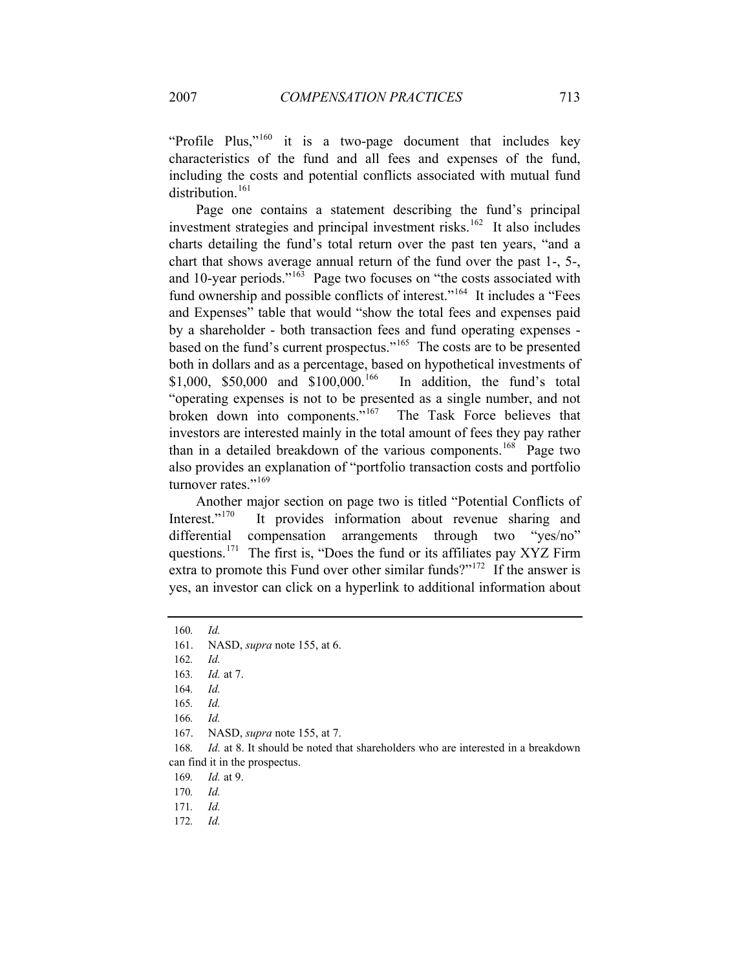"Profile Plus,"<sup>[160](#page-29-0)</sup> it is a two-page document that includes key characteristics of the fund and all fees and expenses of the fund, including the costs and potential conflicts associated with mutual fund distribution. $161$ 

Page one contains a statement describing the fund's principal investment strategies and principal investment risks.<sup>[162](#page-29-2)</sup> It also includes charts detailing the fund's total return over the past ten years, "and a chart that shows average annual return of the fund over the past 1-, 5-, and 10-year periods."<sup>[163](#page-29-3)</sup> Page two focuses on "the costs associated with fund ownership and possible conflicts of interest."<sup>[164](#page-29-4)</sup> It includes a "Fees" and Expenses" table that would "show the total fees and expenses paid by a shareholder - both transaction fees and fund operating expenses - based on the fund's current prospectus."<sup>[165](#page-29-5)</sup> The costs are to be presented both in dollars and as a percentage, based on hypothetical investments of \$1,000, \$50,000 and \$100,000.<sup>[166](#page-29-6)</sup> In addition, the fund's total "operating expenses is not to be presented as a single number, and not broken down into components."[167](#page-29-7) The Task Force believes that investors are interested mainly in the total amount of fees they pay rather than in a detailed breakdown of the various components.<sup>[168](#page-29-8)</sup> Page two also provides an explanation of "portfolio transaction costs and portfolio turnover rates."<sup>[169](#page-29-9)</sup>

Another major section on page two is titled "Potential Conflicts of Interest."<sup>[170](#page-29-10)</sup> It provides information about revenue sharing and differential compensation arrangements through two "yes/no" questions.<sup>[171](#page-29-11)</sup> The first is, "Does the fund or its affiliates pay XYZ Firm extra to promote this Fund over other similar funds?"<sup>[172](#page-29-12)</sup> If the answer is yes, an investor can click on a hyperlink to additional information about

167. NASD, *supra* note 155, at 7.

<span id="page-29-9"></span><span id="page-29-8"></span><span id="page-29-7"></span><span id="page-29-6"></span>168. *Id.* at 8. It should be noted that shareholders who are interested in a breakdown can find it in the prospectus.

169*. Id.* at 9.

172*. Id.*

<sup>160</sup>*. Id.*

<span id="page-29-2"></span><span id="page-29-1"></span><span id="page-29-0"></span><sup>161.</sup> NASD, *supra* note 155, at 6.

<sup>162</sup>*. Id.*

<span id="page-29-3"></span><sup>163</sup>*. Id.* at 7.

<span id="page-29-4"></span><sup>164</sup>*. Id.*

<span id="page-29-5"></span><sup>165</sup>*. Id.*

<sup>166</sup>*. Id.*

<span id="page-29-10"></span><sup>170</sup>*. Id.*

<span id="page-29-12"></span><span id="page-29-11"></span><sup>171</sup>*. Id.*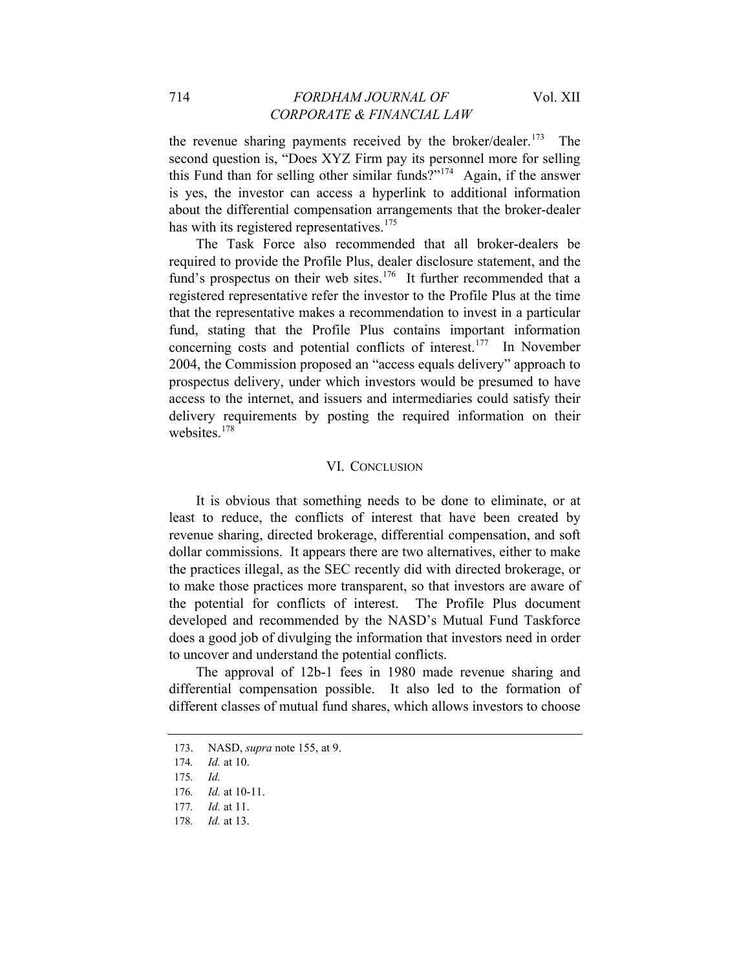the revenue sharing payments received by the broker/dealer.<sup>[173](#page-30-0)</sup> The second question is, "Does XYZ Firm pay its personnel more for selling this Fund than for selling other similar funds?"<sup>[174](#page-30-1)</sup> Again, if the answer is yes, the investor can access a hyperlink to additional information about the differential compensation arrangements that the broker-dealer has with its registered representatives. $175$ 

The Task Force also recommended that all broker-dealers be required to provide the Profile Plus, dealer disclosure statement, and the fund's prospectus on their web sites.<sup>[176](#page-30-3)</sup> It further recommended that a registered representative refer the investor to the Profile Plus at the time that the representative makes a recommendation to invest in a particular fund, stating that the Profile Plus contains important information concerning costs and potential conflicts of interest.[177](#page-30-4) In November 2004, the Commission proposed an "access equals delivery" approach to prospectus delivery, under which investors would be presumed to have access to the internet, and issuers and intermediaries could satisfy their delivery requirements by posting the required information on their websites.<sup>[178](#page-30-5)</sup>

### VI. CONCLUSION

It is obvious that something needs to be done to eliminate, or at least to reduce, the conflicts of interest that have been created by revenue sharing, directed brokerage, differential compensation, and soft dollar commissions. It appears there are two alternatives, either to make the practices illegal, as the SEC recently did with directed brokerage, or to make those practices more transparent, so that investors are aware of the potential for conflicts of interest. The Profile Plus document developed and recommended by the NASD's Mutual Fund Taskforce does a good job of divulging the information that investors need in order to uncover and understand the potential conflicts.

The approval of 12b-1 fees in 1980 made revenue sharing and differential compensation possible. It also led to the formation of different classes of mutual fund shares, which allows investors to choose

<span id="page-30-0"></span><sup>173.</sup> NASD, *supra* note 155, at 9.

<span id="page-30-1"></span><sup>174</sup>*. Id.* at 10.

<sup>175</sup>*. Id.*

<span id="page-30-4"></span><span id="page-30-3"></span><span id="page-30-2"></span><sup>176</sup>*. Id.* at 10-11.

<sup>177</sup>*. Id.* at 11.

<span id="page-30-5"></span><sup>178</sup>*. Id.* at 13.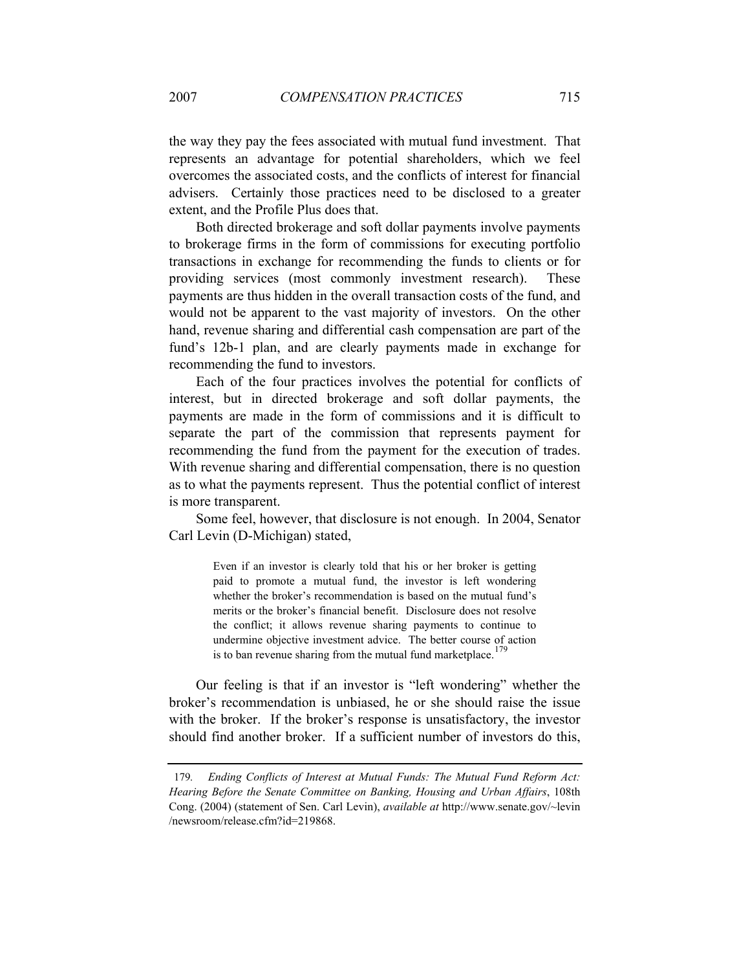the way they pay the fees associated with mutual fund investment. That represents an advantage for potential shareholders, which we feel overcomes the associated costs, and the conflicts of interest for financial advisers. Certainly those practices need to be disclosed to a greater extent, and the Profile Plus does that.

Both directed brokerage and soft dollar payments involve payments to brokerage firms in the form of commissions for executing portfolio transactions in exchange for recommending the funds to clients or for providing services (most commonly investment research). These payments are thus hidden in the overall transaction costs of the fund, and would not be apparent to the vast majority of investors. On the other hand, revenue sharing and differential cash compensation are part of the fund's 12b-1 plan, and are clearly payments made in exchange for recommending the fund to investors.

Each of the four practices involves the potential for conflicts of interest, but in directed brokerage and soft dollar payments, the payments are made in the form of commissions and it is difficult to separate the part of the commission that represents payment for recommending the fund from the payment for the execution of trades. With revenue sharing and differential compensation, there is no question as to what the payments represent. Thus the potential conflict of interest is more transparent.

Some feel, however, that disclosure is not enough. In 2004, Senator Carl Levin (D-Michigan) stated,

> Even if an investor is clearly told that his or her broker is getting paid to promote a mutual fund, the investor is left wondering whether the broker's recommendation is based on the mutual fund's merits or the broker's financial benefit. Disclosure does not resolve the conflict; it allows revenue sharing payments to continue to undermine objective investment advice. The better course of action is to ban revenue sharing from the mutual fund marketplace.<sup>[179](#page-31-0)</sup>

Our feeling is that if an investor is "left wondering" whether the broker's recommendation is unbiased, he or she should raise the issue with the broker. If the broker's response is unsatisfactory, the investor should find another broker. If a sufficient number of investors do this,

<span id="page-31-0"></span><sup>179</sup>*. Ending Conflicts of Interest at Mutual Funds: The Mutual Fund Reform Act: Hearing Before the Senate Committee on Banking, Housing and Urban Affairs*, 108th Cong. (2004) (statement of Sen. Carl Levin), *available at* http://www.senate.gov/~levin /newsroom/release.cfm?id=219868.